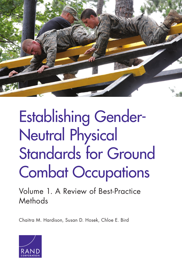

# Establishing Gender-Neutral Physical [Standards for Ground](https://www.rand.org/pubs/research_reports/RR1340z1.html)  Combat Occupations

Volume 1. A Review of Best-Practice **Methods** 

Chaitra M. Hardison, Susan D. Hosek, Chloe E. Bird

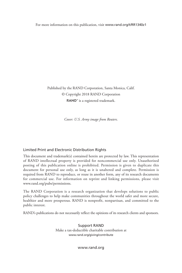For more information on this publication, visit [www.rand.org/t/RR1340z1](http://www.rand.org/t/RR1340z1)

Published by the RAND Corporation, Santa Monica, Calif. © Copyright 2018 RAND Corporation RAND<sup>®</sup> is a registered trademark.

*Cover: U.S. Army image from Reuters.*

#### Limited Print and Electronic Distribution Rights

This document and trademark(s) contained herein are protected by law. This representation of RAND intellectual property is provided for noncommercial use only. Unauthorized posting of this publication online is prohibited. Permission is given to duplicate this document for personal use only, as long as it is unaltered and complete. Permission is required from RAND to reproduce, or reuse in another form, any of its research documents for commercial use. For information on reprint and linking permissions, please visit [www.rand.org/pubs/permissions.](http://www.rand.org/pubs/permissions)

The RAND Corporation is a research organization that develops solutions to public policy challenges to help make communities throughout the world safer and more secure, healthier and more prosperous. RAND is nonprofit, nonpartisan, and committed to the public interest.

RAND's publications do not necessarily reflect the opinions of its research clients and sponsors.

Support RAND Make a tax-deductible charitable contribution at [www.rand.org/giving/contribute](http://www.rand.org/giving/contribute)

[www.rand.org](http://www.rand.org)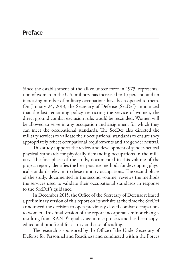Since the establishment of the all-volunteer force in 1973, representation of women in the U.S. military has increased to 15 percent, and an increasing number of military occupations have been opened to them. On January 24, 2013, the Secretary of Defense (SecDef) announced that the last remaining policy restricting the service of women, the direct ground combat exclusion rule, would be rescinded. Women will be allowed to serve in any occupation and assignment for which they can meet the occupational standards. The SecDef also directed the military services to validate their occupational standards to ensure they appropriately reflect occupational requirements and are gender neutral.

This study supports the review and development of gender-neutral physical standards for physically demanding occupations in the military. The first phase of the study, documented in this volume of the project report, identifies the best-practice methods for developing physical standards relevant to these military occupations. The second phase of the study, documented in the second volume, reviews the methods the services used to validate their occupational standards in response to the SecDef's guidance.

In December 2015, the Office of the Secretary of Defense released a preliminary version of this report on its website at the time the SecDef announced the decision to open previously closed combat occupations to women. This final version of the report incorporates minor changes resulting from RAND's quality assurance process and has been copyedited and proofread for clarity and ease of reading.

The research is sponsored by the Office of the Under Secretary of Defense for Personnel and Readiness and conducted within the Forces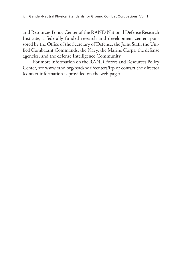and Resources Policy Center of the RAND National Defense Research Institute, a federally funded research and development center sponsored by the Office of the Secretary of Defense, the Joint Staff, the Unified Combatant Commands, the Navy, the Marine Corps, the defense agencies, and the defense Intelligence Community.

For more information on the RAND Forces and Resources Policy Center, see [www.rand.org/nsrd/ndri/centers/frp](http://www.rand.org/nsrd/ndri/centers/frp) or contact the director (contact information is provided on the web page).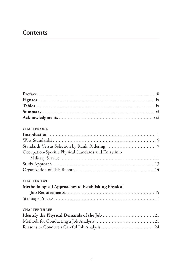# **Contents**

| <b>CHAPTER ONE</b>                                    |  |
|-------------------------------------------------------|--|
|                                                       |  |
|                                                       |  |
|                                                       |  |
| Occupation-Specific Physical Standards and Entry into |  |
|                                                       |  |
|                                                       |  |
|                                                       |  |
| <b>CHAPTER TWO</b>                                    |  |
| Methodological Approaches to Establishing Physical    |  |
|                                                       |  |
|                                                       |  |
| <b>CHAPTER THREE</b>                                  |  |
|                                                       |  |
|                                                       |  |
|                                                       |  |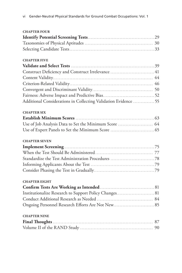| <b>CHAPTER FOUR</b>                                             |  |
|-----------------------------------------------------------------|--|
|                                                                 |  |
|                                                                 |  |
|                                                                 |  |
| <b>CHAPTER FIVE</b>                                             |  |
|                                                                 |  |
| Construct Deficiency and Construct Irrelevance  41              |  |
|                                                                 |  |
|                                                                 |  |
|                                                                 |  |
|                                                                 |  |
| Additional Considerations in Collecting Validation Evidence  55 |  |
| <b>CHAPTER SIX</b>                                              |  |
|                                                                 |  |
| Use of Job Analysis Data to Set the Minimum Score  64           |  |
|                                                                 |  |
| <b>CHAPTER SEVEN</b>                                            |  |
|                                                                 |  |
|                                                                 |  |
|                                                                 |  |
|                                                                 |  |
|                                                                 |  |
| <b>CHAPTER EIGHT</b>                                            |  |
|                                                                 |  |
| Institutionalize Research to Support Policy Changes 81          |  |
|                                                                 |  |
|                                                                 |  |
| <b>CHAPTER NINE</b>                                             |  |
|                                                                 |  |
|                                                                 |  |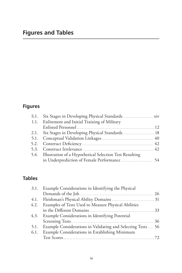# **Figures**

| S.1. Six Stages in Developing Physical Standards xiv         |  |
|--------------------------------------------------------------|--|
| 1.1. Enlistment and Initial Training of Military             |  |
|                                                              |  |
| 2.1. Six Stages in Developing Physical Standards 18          |  |
|                                                              |  |
|                                                              |  |
|                                                              |  |
| 5.4. Illustration of a Hypothetical Selection Test Resulting |  |
|                                                              |  |

## **Tables**

|      | 3.1. Example Considerations in Identifying the Physical     |  |
|------|-------------------------------------------------------------|--|
|      |                                                             |  |
| 4.1. |                                                             |  |
| 4.2. | Examples of Tests Used to Measure Physical Abilities        |  |
|      |                                                             |  |
| 4.3. | Example Considerations in Identifying Potential             |  |
|      |                                                             |  |
| 5.1. | Example Considerations in Validating and Selecting Tests 56 |  |
| 6.1. | Example Considerations in Establishing Minimum              |  |
|      |                                                             |  |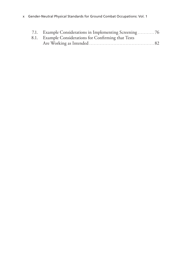| 7.1. Example Considerations in Implementing Screening 76 |  |
|----------------------------------------------------------|--|
| 8.1. Example Considerations for Confirming that Tests    |  |
|                                                          |  |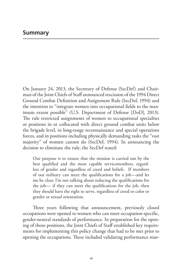On January 24, 2013, the Secretary of Defense (SecDef) and Chairman of the Joint Chiefs of Staff announced rescission of the 1994 Direct Ground Combat Definition and Assignment Rule (SecDef, 1994) and the intention to "integrate women into occupational fields to the maximum extent possible" (U.S. Department of Defense [DoD], 2013). The rule restricted assignments of women to occupational specialties or positions in or collocated with direct ground combat units below the brigade level, in long-range reconnaissance and special operations forces, and in positions including physically demanding tasks the "vast majority" of women cannot do (SecDef, 1994). In announcing the decision to eliminate the rule, the SecDef stated:

Our purpose is to ensure that the mission is carried out by the best qualified and the most capable servicemembers, regardless of gender and regardless of creed and beliefs. If members of our military can meet the qualifications for a job—and let me be clear, I'm not talking about reducing the qualifications for the job— if they can meet the qualifications for the job, then they should have the right to serve, regardless of creed or color or gender or sexual orientation.

Three years following that announcement, previously closed occupations were opened to women who can meet occupation-specific, gender-neutral standards of performance. In preparation for the opening of those positions, the Joint Chiefs of Staff established key requirements for implementing this policy change that had to be met prior to opening the occupations. These included validating performance stan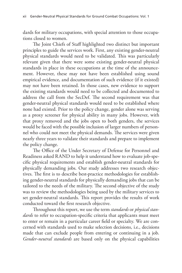dards for military occupations, with special attention to those occupations closed to women.

The Joint Chiefs of Staff highlighted two distinct but important principles to guide the services work. First, any existing gender-neutral physical standards would need to be validated. This was particularly relevant given that there were some existing gender-neutral physical standards in place in these occupations at the time of the announcement. However, these may not have been established using sound empirical evidence, and documentation of such evidence (if it existed) may not have been retained. In those cases, new evidence to support the existing standards would need to be collected and documented to address the call from the SecDef. The second requirement was that gender-neutral physical standards would need to be established where none had existed. Prior to the policy change, gender alone was serving as a proxy screener for physical ability in many jobs. However, with that proxy removed and the jobs open to both genders, the services would be faced with the possible inclusion of larger numbers of personnel who could not meet the physical demands. The services were given nearly three years to validate their standards and prepare to implement the policy change.

The Office of the Under Secretary of Defense for Personnel and Readiness asked RAND to help it understand how to evaluate job-specific physical requirements and establish gender-neutral standards for physically demanding jobs. Our study addresses two research objectives. The first is to describe best-practice methodologies for establishing gender-neutral standards for physically demanding jobs that can be tailored to the needs of the military. The second objective of the study was to review the methodologies being used by the military services to set gender-neutral standards. This report provides the results of work conducted toward the first research objective.

Throughout this report, we use the term *standards* or *physical standards* to refer to occupation-specific criteria that applicants must meet to enter or remain in a particular career field or specialty. We are concerned with standards used to make selection decisions, i.e., decisions made that can exclude people from entering or continuing in a job. *Gender-neutral standards* are based only on the physical capabilities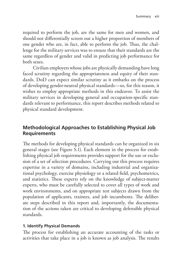required to perform the job, are the same for men and women, and should not differentially screen out a higher proportion of members of one gender who are, in fact, able to perform the job. Thus, the challenge for the military services was to ensure that their standards are the same regardless of gender and valid in predicting job performance for both sexes.

Civilian employers whose jobs are physically demanding have long faced scrutiny regarding the appropriateness and equity of their standards. DoD can expect similar scrutiny as it embarks on the process of developing gender-neutral physical standards—so, for this reason, it wishes to employ appropriate methods in this endeavor. To assist the military services in developing general and occupation-specific standards relevant to performance, this report describes methods related to physical standard development.

## **Methodological Approaches to Establishing Physical Job Requirements**

The methods for developing physical standards can be organized in six general stages (see Figure S.1). Each element in the process for establishing physical job requirements provides support for the use or exclusion of a set of selection procedures. Carrying out this process requires expertise in a variety of domains, including industrial and organizational psychology, exercise physiology or a related field, psychometrics, and statistics. These experts rely on the knowledge of subject-matter experts, who must be carefully selected to cover all types of work and work environments, and on appropriate test subjects drawn from the population of applicants, trainees, and job incumbents. The deliberate steps described in this report and, importantly, the documentation of the actions taken are critical to developing defensible physical standards.

#### **1. Identify Physical Demands**

The process for establishing an accurate accounting of the tasks or activities that take place in a job is known as job analysis. The results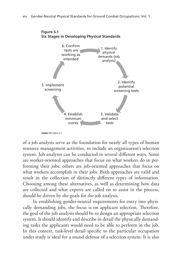

**RAND** *RR1340/1-S.1*

of a job analysis serve as the foundation for nearly all types of human resource management activities, to include an organization's selection system. Job analyses can be conducted in several different ways. Some are worker-oriented approaches that focus on what workers do in performing their jobs; others are job-oriented approaches that focus on what workers accomplish in their jobs. Both approaches are valid and result in the collection of distinctly different types of information. Choosing among these alternatives, as well as determining how data are collected and what experts are called on to assist in the process, should be driven by the goals for the job analysis.

In establishing gender-neutral requirements for entry into physically demanding jobs, the focus is on applicant selection. Therefore, the goal of the job analysis should be to design an appropriate selection system. It should identify and describe in detail the physically demanding tasks the applicants would need to be able to perform in the job. In this context, task-level detail specific to the particular occupation under study is ideal for a sound defense of a selection system. It is also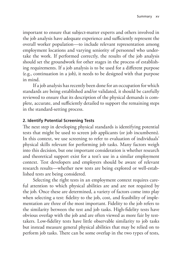important to ensure that subject-matter experts and others involved in the job analysis have adequate experience and sufficiently represent the overall worker population—to include relevant representation among employment locations and varying seniority of personnel who undertake the work. If performed correctly, the results of the job analysis should set the groundwork for other stages in the process of establishing requirements. If a job analysis is to be used for a different purpose (e.g., continuation in a job), it needs to be designed with that purpose in mind.

If a job analysis has recently been done for an occupation for which standards are being established and/or validated, it should be carefully reviewed to ensure that its description of the physical demands is complete, accurate, and sufficiently detailed to support the remaining steps in the standard-setting process.

#### **2. Identify Potential Screening Tests**

The next step in developing physical standards is identifying potential tests that might be used to screen job applicants (or job incumbents). In this context, we use screening to refer to evaluation of individuals' physical skills relevant for performing job tasks. Many factors weigh into this decision, but one important consideration is whether research and theoretical support exist for a test's use in a similar employment context. Test developers and employers should be aware of relevant research results—whether new tests are being explored or well-established tests are being considered.

Selecting the right tests in an employment context requires careful attention to which physical abilities are and are not required by the job. Once these are determined, a variety of factors come into play when selecting a test: fidelity to the job, cost, and feasibility of implementation are three of the most important. Fidelity to the job refers to the similarity between the test and job tasks. High-fidelity tests have obvious overlap with the job and are often viewed as more fair by testtakers. Low-fidelity tests have little observable similarity to job tasks but instead measure general physical abilities that may be relied on to perform job tasks. There can be some overlap in the two types of tests,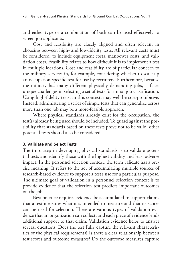and either type or a combination of both can be used effectively to screen job applicants.

Cost and feasibility are closely aligned and often relevant in choosing between high- and low-fidelity tests. All relevant costs must be considered, to include equipment costs, manpower costs, and validation costs. Feasibility relates to how difficult it is to implement a test in multiple locations. Cost and feasibility are of particular concern to the military services in, for example, considering whether to scale up an occupation-specific test for use by recruiters. Furthermore, because the military has many different physically demanding jobs, it faces unique challenges in selecting a set of tests for initial job classification. Using high-fidelity tests, in this context, may well be cost-prohibitive. Instead, administering a series of simple tests that can generalize across more than one job may be a more-feasible approach.

Where physical standards already exist for the occupation, the test(s) already being used should be included. To guard against the possibility that standards based on these tests prove not to be valid, other potential tests should also be considered.

#### **3. Validate and Select Tests**

The third step in developing physical standards is to validate potential tests and identify those with the highest validity and least adverse impact. In the personnel selection context, the term validate has a precise meaning. It refers to the act of accumulating multiple sources of research-based evidence to support a test's use for a particular purpose. The ultimate goal of validation in a personnel selection context is to provide evidence that the selection test predicts important outcomes on the job.

Best practice requires evidence be accumulated to support claims that a test measures what it is intended to measure and that its scores can be used for selection. There are various types of validation evidence that an organization can collect, and each piece of evidence lends additional support to that claim. Validation evidence helps to answer several questions: Does the test fully capture the relevant characteristics of the physical requirements? Is there a clear relationship between test scores and outcome measures? Do the outcome measures capture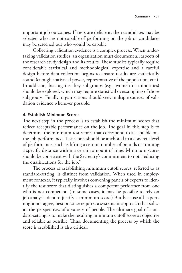important job outcomes? If tests are deficient, then candidates may be selected who are not capable of performing on the job or candidates may be screened out who would be capable.

Collecting validation evidence is a complex process. When undertaking validation studies, an organization must document all aspects of the research study design and its results. These studies typically require considerable statistical and methodological expertise and a careful design before data collection begins to ensure results are statistically sound (enough statistical power, representative of the population, etc.). In addition, bias against key subgroups (e.g., women or minorities) should be explored, which may require statistical oversampling of those subgroups. Finally, organizations should seek multiple sources of validation evidence whenever possible.

#### **4. Establish Minimum Scores**

The next step in the process is to establish the minimum scores that reflect acceptable performance on the job. The goal in this step is to determine the minimum test scores that correspond to acceptable onthe-job performance. Test scores should be anchored to a concrete level of performance, such as lifting a certain number of pounds or running a specific distance within a certain amount of time. Minimum scores should be consistent with the Secretary's commitment to not "reducing the qualifications for the job."

The process of establishing minimum cutoff scores, referred to as standard-setting, is distinct from validation. When used in employment contexts, it typically involves convening panels of experts to identify the test score that distinguishes a competent performer from one who is not competent. (In some cases, it may be possible to rely on job analysis data to justify a minimum score.) But because all experts might not agree, best practice requires a systematic approach that solicits the perspectives of a variety of people. The ultimate goal of standard-setting is to make the resulting minimum cutoff score as objective and reliable as possible. Thus, documenting the process by which the score is established is also critical.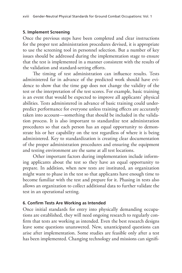#### **5. Implement Screening**

Once the previous steps have been completed and clear instructions for the proper test administration procedures devised, it is appropriate to use the screening tool in personnel selection. But a number of key issues should be addressed during the implementation stage to ensure that the test is implemented in a manner consistent with the results of the validation and standard-setting efforts.

The timing of test administration can influence results. Tests administered far in advance of the predicted work should have evidence to show that the time gap does not change the validity of the test or the interpretation of the test scores. For example, basic training is an event that would be expected to improve all applicants' physical abilities. Tests administered in advance of basic training could underpredict performance for everyone unless training effects are accurately taken into account—something that should be included in the validation process. It is also important to standardize test administration procedures so that each person has an equal opportunity to demonstrate his or her capability on the test regardless of where it is being administered. Key to standardization is creating clear documentation of the proper administration procedures and ensuring the equipment and testing environment are the same at all test locations.

Other important factors during implementation include informing applicants about the test so they have an equal opportunity to prepare. In addition, when new tests are instituted, an organization might want to phase in the test so that applicants have enough time to become familiar with the test and prepare for it. Phasing in tests also allows an organization to collect additional data to further validate the test in an operational setting.

#### **6. Confirm Tests Are Working as Intended**

Once initial standards for entry into physically demanding occupations are established, they will need ongoing research to regularly confirm that tests are working as intended. Even the best research designs leave some questions unanswered. New, unanticipated questions can arise after implementation. Some studies are feasible only after a test has been implemented. Changing technology and missions can signifi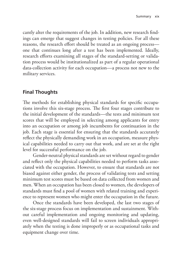cantly alter the requirements of the job. In addition, new research findings can emerge that suggest changes in testing policies. For all these reasons, the research effort should be treated as an ongoing process one that continues long after a test has been implemented. Ideally, research efforts examining all stages of the standard-setting or validation process would be institutionalized as part of a regular operational data-collection activity for each occupation—a process not new to the military services.

## **Final Thoughts**

The methods for establishing physical standards for specific occupations involve this six-stage process. The first four stages contribute to the initial development of the standards—the tests and minimum test scores that will be employed in selecting among applicants for entry into an occupation or among job incumbents for continuation in the job. Each stage is essential for ensuring that the standards accurately reflect the physically demanding work in an occupation, measure physical capabilities needed to carry out that work, and are set at the right level for successful performance on the job.

Gender-neutral physical standards are set without regard to gender and reflect only the physical capabilities needed to perform tasks associated with the occupation. However, to ensure that standards are not biased against either gender, the process of validating tests and setting minimum test scores must be based on data collected from women and men. When an occupation has been closed to women, the developers of standards must find a pool of women with related training and experience to represent women who might enter the occupation in the future.

Once the standards have been developed, the last two stages of the six-stage process focus on implementation and sustainment. Without careful implementation and ongoing monitoring and updating, even well-designed standards will fail to screen individuals appropriately when the testing is done improperly or as occupational tasks and equipment change over time.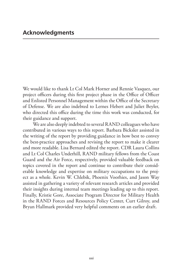We would like to thank Lt Col Mark Horner and Rennie Vasquez, our project officers during this first project phase in the Office of Officer and Enlisted Personnel Management within the Office of the Secretary of Defense. We are also indebted to Lernes Hebert and Juliet Beyler, who directed this office during the time this work was conducted, for their guidance and support.

We are also deeply indebted to several RAND colleagues who have contributed in various ways to this report. Barbara Bicksler assisted in the writing of the report by providing guidance in how best to convey the best-practice approaches and revising the report to make it clearer and more readable. Lisa Bernard edited the report. CDR Laura Collins and Lt Col Charles Underhill, RAND military fellows from the Coast Guard and the Air Force, respectively, provided valuable feedback on topics covered in the report and continue to contribute their considerable knowledge and expertise on military occupations to the project as a whole. Kevin W. Chlebik, Phoenix Voorhies, and Jason Way assisted in gathering a variety of relevant research articles and provided their insights during internal team meetings leading up to this report. Finally, Kristie Gore, Associate Program Director for Military Health in the RAND Forces and Resources Policy Center, Curt Gilroy, and Bryan Hallmark provided very helpful comments on an earlier draft.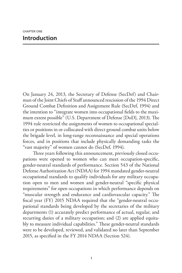On January 24, 2013, the Secretary of Defense (SecDef) and Chairman of the Joint Chiefs of Staff announced rescission of the 1994 Direct Ground Combat Definition and Assignment Rule (SecDef, 1994) and the intention to "integrate women into occupational fields to the maximum extent possible" (U.S. Department of Defense [DoD], 2013). The 1994 rule restricted the assignments of women to occupational specialties or positions in or collocated with direct ground combat units below the brigade level, in long-range reconnaissance and special operations forces, and in positions that include physically demanding tasks the "vast majority" of women cannot do (SecDef, 1994).

Three years following this announcement, previously closed occupations were opened to women who can meet occupation-specific, gender-neutral standards of performance. Section 543 of the National Defense Authorization Act (NDAA) for 1994 mandated gender-neutral occupational standards to qualify individuals for any military occupation open to men and women and gender-neutral "specific physical requirements" for open occupations in which performance depends on "muscular strength and endurance and cardiovascular capacity." The fiscal year (FY) 2015 NDAA required that the "gender-neutral occupational standards being developed by the secretaries of the military departments (1) accurately predict performance of actual, regular, and recurring duties of a military occupation; and (2) are applied equitably to measure individual capabilities." These gender-neutral standards were to be developed, reviewed, and validated no later than September 2015, as specified in the FY 2014 NDAA (Section 524).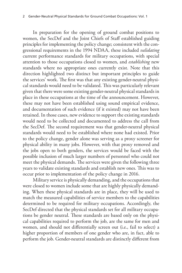In preparation for the opening of ground combat positions to women, the SecDef and the Joint Chiefs of Staff established guiding principles for implementing the policy change; consistent with the congressional requirements in the 1994 NDAA, these included *validating* current performance standards for military occupations, with special attention to those occupations closed to women, and *establishing* new standards where no appropriate ones currently exist. Note that this direction highlighted two distinct but important principles to guide the services' work. The first was that any existing gender-neutral physical standards would need to be validated. This was particularly relevant given that there were some existing gender-neutral physical standards in place in these occupations at the time of the announcement. However, these may not have been established using sound empirical evidence, and documentation of such evidence (if it existed) may not have been retained. In those cases, new evidence to support the existing standards would need to be collected and documented to address the call from the SecDef. The second requirement was that gender-neutral physical standards would need to be established where none had existed. Prior to the policy change, gender alone was serving as a proxy screener for physical ability in many jobs. However, with that proxy removed and the jobs open to both genders, the services would be faced with the possible inclusion of much larger numbers of personnel who could not meet the physical demands. The services were given the following three years to validate existing standards and establish new ones. This was to occur prior to implementation of the policy change in 2016.

Military service is physically demanding, and the occupations that were closed to women include some that are highly physically demanding. When these physical standards are in place, they will be used to match the measured capabilities of service members to the capabilities determined to be required for military occupations. Accordingly, the SecDef directed that the physical standards set for all military occupations be gender neutral. These standards are based only on the physical capabilities required to perform the job, are the same for men and women, and should not differentially screen out (i.e., fail to select) a higher proportion of members of one gender who are, in fact, able to perform the job. Gender-neutral standards are distinctly different from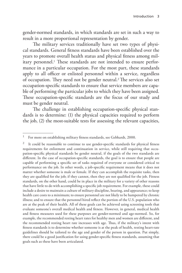gender-normed standards, in which standards are set in such a way to result in a more proportional representation by gender.

The military services traditionally have set two types of physical standards. General fitness standards have been established over the years to promote overall health status and physical fitness among military personnel.<sup>1</sup> These standards are not intended to ensure performance in a particular occupation. For the most part, these standards apply to all officer or enlisted personnel within a service, regardless of occupation. They need not be gender neutral.2 The services also set occupation-specific standards to ensure that service members are capable of performing the particular jobs to which they have been assigned. These occupation-specific standards are the focus of our study and must be gender neutral.

The challenge in establishing occupation-specific physical standards is to determine: (1) the physical capacities required to perform the job, (2) the most-suitable tests for assessing the relevant capacities,

<sup>&</sup>lt;sup>1</sup> For more on establishing military fitness standards, see Gebhardt, 2000.

It could be reasonable to continue to use gender-specific standards for physical fitness requirements for enlistment and continuation in service, while still requiring that occupation-specific physical standards be gender neutral, if the goals of the two standards are different. In the case of occupation-specific standards, the goal is to ensure that people are capable of performing a specific set of tasks required of everyone or considered critical to performance on the job. In other words, a job-specific requirement means that it does not matter whether someone is male or female. If they can accomplish the requisite tasks, then they are qualified for the job; if they cannot, then they are not qualified for the job. Fitness standards, on the other hand, could be in place in the military for a variety of other reasons that have little to do with accomplishing a specific job requirement. For example, these could include a desire to maintain a culture of military discipline, bearing, and appearance; to keep health care costs to a minimum; to ensure personnel are not likely to be hampered by chronic illness; and to ensure that the personnel hired reflect the portion of the U.S. population who are at the peak of their health. All of these goals can be achieved using screening tools that evaluate someone's overall medical health and fitness. However, in general, medical health and fitness measures used for these purposes are gender-normed and age-normed. So, for example, the recommended resting heart rates for healthy men and women are different, and the recommended resting heart rate increases with age. Thus, if the military's intent with fitness standards is to determine whether someone is at the peak of health, resting heart-rate guidelines should be tailored to the age and gender of the person in question. Put simply, there could be a good justification for using gender-specific fitness standards, assuming that goals such as these have been articulated.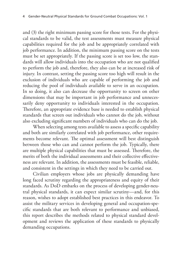and (3) the right minimum passing score for those tests. For the physical standards to be valid, the test assessments must measure physical capabilities required for the job and be appropriately correlated with job performance. In addition, the minimum passing score on the tests must be set appropriately. If the passing score is set too low, the standards will allow individuals into the occupation who are not qualified to perform the job and, therefore, they also can be at increased risk of injury. In contrast, setting the passing score too high will result in the exclusion of individuals who are capable of performing the job and reducing the pool of individuals available to serve in an occupation. In so doing, it also can decrease the opportunity to screen on other dimensions that may be important in job performance and unnecessarily deny opportunity to individuals interested in the occupation. Therefore, an appropriate evidence base is needed to establish physical standards that screen out individuals who cannot do the job, without also excluding significant numbers of individuals who can do the job.

When selecting among tests available to assess a specific capability and both are similarly correlated with job performance, other requirements become relevant. The optimal assessment will best distinguish between those who can and cannot perform the job. Typically, there are multiple physical capabilities that must be assessed. Therefore, the merits of both the individual assessments and their collective effectiveness are relevant. In addition, the assessments must be feasible, reliable, and consistent in the settings in which they need to be carried out.

Civilian employers whose jobs are physically demanding have long faced scrutiny regarding the appropriateness and equity of their standards. As DoD embarks on the process of developing gender-neutral physical standards, it can expect similar scrutiny—and, for this reason, wishes to adopt established best practices in this endeavor. To assist the military services in developing general and occupation-specific standards that are both relevant to performance and unbiased, this report describes the methods related to physical standard development and reviews the application of these standards to physically demanding occupations.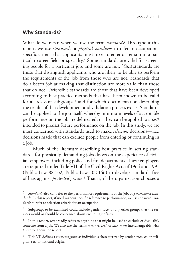## **Why Standards?**

What do we mean when we use the term *standards*? Throughout this report, we use *standards* or *physical standards* to refer to occupationspecific criteria that applicants must meet to enter or remain in a particular career field or specialty.<sup>3</sup> Some standards are valid for screening people for a particular job, and some are not. *Valid* standards are those that distinguish applicants who are likely to be able to perform the requirements of the job from those who are not. Standards that do a better job at making that distinction are more valid than those that do not. Defensible standards are those that have been developed according to best-practice methods that have been shown to be valid for all relevant subgroups, $4$  and for which documentation describing the results of that development and validation process exists. Standards can be applied to the job itself, whereby minimum levels of acceptable performance on the job are delineated, or they can be applied to a *test*<sup>5</sup> intended to predict future performance on the job. In this study, we are most concerned with standards used to make *selection* decisions—i.e., decisions made that can exclude people from entering or continuing in a job.

Much of the literature describing best practice in setting standards for physically demanding jobs draws on the experience of civilian employers, including police and fire departments. These employers are required under Title VII of the Civil Rights Acts of 1964 and 1991 (Public Law 88-352; Public Law 102-166) to develop standards free of bias against *protected groups*.6 That is, if the organization chooses a

<sup>3</sup> *Standards* also can refer to the performance requirements of the job, or *performance standards*. In this report, if used without specific reference to performance, we use the word *standards* to refer to selection criteria for an occupation.

Subgroups to be examined could include gender, race, or any other groups that the services would or should be concerned about excluding unfairly.

<sup>5</sup> In this report, *test* broadly refers to anything that might be used to exclude or disqualify someone from a job. We also use the terms *measure*, *tool*, or *assessment* interchangeably with *test* throughout the report.

<sup>6</sup> Title VII defines a *protected group* as individuals characterized by gender, race, color, religion, sex, or national origin.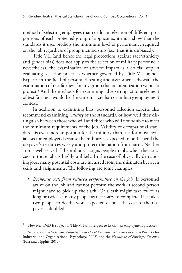method of selecting employees that results in selection of different proportions of each protected group of applicants, it must show that the standards it uses predicts the minimum level of performance required on the job regardless of group membership (i.e., that it is unbiased).

Title VII (and hence the legal protections against race/ethnicity and gender bias) does not apply to the selection of military personnel;<sup>7</sup> nevertheless, the examination of adverse impact is a crucial step in evaluating selection practices whether governed by Title VII or not. Experts in the field of personnel testing and assessment advocate the examination of test fairness for any group that an organization wants to protect.8 And the methods for examining adverse impact (one element of test fairness) would be the same in a civilian or military employment context.

In addition to examining bias, personnel selection experts also recommend examining *validity* of the standards, or how well they distinguish between those who will and those who will not be able to meet the minimum requirements of the job. Validity of occupational standards is even more important for the military than it is for most civilian-sector employers because the military is expected to both spend the taxpayer's resources wisely and protect the nation from harm. Neither aim is well served if the military assigns people to jobs when their success in those jobs is highly unlikely. In the case of physically demanding jobs, many potential costs are incurred from the mismatch between skills and assignments. The following are some examples:

• *Economic costs from reduced performance on the job.* If personnel arrive on the job and cannot perform the work, a second person might have to pick up the slack. Or a task might take twice as long or twice as many people as necessary to complete. If it takes two people to do the work expected of one, the cost to the taxpayer is doubled.

However, DoD is subject to Title VII with respect to its civilian employment practices.

<sup>8</sup> See the *Principles for the Validation and Use of Personnel Selection Procedures* (Society for Industrial and Organizational Psychology, 2003) and the *Handbook of Employee Selection*  (Farr and Tippins, 2010).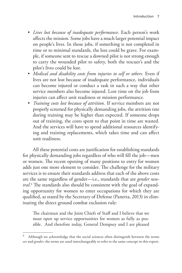- *Lives lost because of inadequate performance.* Each person's work affects the mission. Some jobs have a much larger potential impact on people's lives. In those jobs, if something is not completed in time or to minimal standards, the loss could be grave. For example, if someone sent to rescue a downed pilot is not strong enough to carry the wounded pilot to safety, both the rescuer's and the pilot's lives could be lost.
- *Medical and disability costs from injuries to self or others.* Even if lives are not lost because of inadequate performance, individuals can become injured or conduct a task in such a way that other service members also become injured. Lost time on the job from injuries can affect unit readiness or mission performance.
- *Training costs lost because of attrition.* If service members are not properly screened for physically demanding jobs, the attrition rate during training may be higher than expected. If someone drops out of training, the costs spent to that point in time are wasted. And the services will have to spend additional resources identifying and training replacements, which takes time and can affect unit readiness.

All these potential costs are justification for establishing standards for physically demanding jobs regardless of who will fill the job—men or women. The recent opening of many positions to entry for women adds just one more element to consider. The challenge for the military services is to ensure their standards address that each of the above costs are the same regardless of gender—i.e., standards that are *gender neutral*. 9 The standards also should be consistent with the goal of expanding opportunity for women to enter occupations for which they are qualified, as stated by the Secretary of Defense (Panetta, 2013) in eliminating the direct ground combat exclusion rule:

The chairman and the Joint Chiefs of Staff and I believe that we must open up service opportunities for women as fully as possible. And therefore today, General Dempsey and I are pleased

Although we acknowledge that the social sciences often distinguish between the terms *sex* and *gender*, the terms are used interchangeably to refer to the same concept in this report.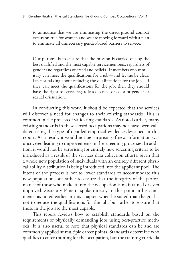to announce that we are eliminating the direct ground combat exclusion rule for women and we are moving forward with a plan to eliminate all unnecessary gender-based barriers to service.

Our purpose is to ensure that the mission is carried out by the best qualified and the most capable servicemembers, regardless of gender and regardless of creed and beliefs. If members of our military can meet the qualifications for a job—and let me be clear, I'm not talking about reducing the qualifications for the job—if they can meet the qualifications for the job, then they should have the right to serve, regardless of creed or color or gender or sexual orientation.

In conducting this work, it should be expected that the services will discover a need for changes to their existing standards. This is common in the process of validating standards. As noted earlier, many existing standards in these closed occupations may not have been validated using the type of detailed empirical evidence described in this report. As a result, it would not be surprising if new information was uncovered leading to improvements in the screening processes. In addition, it would not be surprising for entirely new screening criteria to be introduced as a result of the services data collection efforts, given that a whole new population of individuals with an entirely different physical ability distribution is being introduced into the applicant pool. The intent of the process is not to lower standards to accommodate this new population, but rather to ensure that the integrity of the performance of those who make it into the occupation is maintained or even improved. Secretary Panetta spoke directly to this point in his comments, as noted earlier in this chapter, when he stated that the goal is not to reduce the qualifications for the job, but rather to ensure that those in the job are the most capable.

This report reviews how to establish standards based on the requirements of physically demanding jobs using best-practice methods. It is also useful to note that physical standards can be and are commonly applied at multiple career points. Standards determine who qualifies to enter training for the occupation, but the training curricula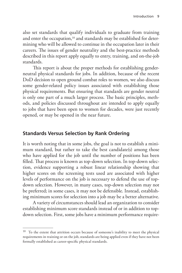also set standards that qualify individuals to graduate from training and enter the occupation,<sup>10</sup> and standards may be established for determining who will be allowed to continue in the occupation later in their careers. The issues of gender neutrality and the best-practice methods described in this report apply equally to entry, training, and on-the-job standards.

This report is about the proper methods for establishing genderneutral physical standards for jobs. In addition, because of the recent DoD decision to open ground combat roles to women, we also discuss some gender-related policy issues associated with establishing those physical requirements. But ensuring that standards are gender neutral is only one part of a much larger process. The basic principles, methods, and policies discussed throughout are intended to apply equally to jobs that have been open to women for decades, were just recently opened, or may be opened in the near future.

## **Standards Versus Selection by Rank Ordering**

It is worth noting that in some jobs, the goal is not to establish a minimum standard, but rather to take the best candidate(s) among those who have applied for the job until the number of positions has been filled. That process is known as top-down selection. In top-down selection, evidence supporting a robust linear relationship showing that higher scores on the screening tests used are associated with higher levels of performance on the job is necessary to defend the use of topdown selection. However, in many cases, top-down selection may not be preferred; in some cases, it may not be defensible. Instead, establishing minimum scores for selection into a job may be a better alternative.

A variety of circumstances should lead an organization to consider establishing minimum score standards instead of or in addition to topdown selection. First, some jobs have a minimum performance require-

<sup>&</sup>lt;sup>10</sup> To the extent that attrition occurs because of someone's inability to meet the physical requirements in training or on the job, standards are being applied even if they have not been formally established as career-specific physical standards.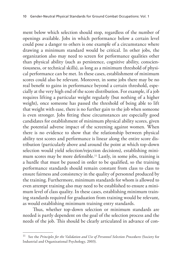ment below which selection should stop, regardless of the number of openings available. Jobs in which performance below a certain level could pose a danger to others is one example of a circumstance where drawing a minimum standard would be critical. In other jobs, the organization also may need to screen for performance qualities other than physical ability (such as persistence, cognitive ability, conscientiousness, or technical skills), as long as a minimum threshold of physical performance can be met. In these cases, establishment of minimum scores could also be relevant. Moreover, in some jobs there may be no real benefit to gains in performance beyond a certain threshold, especially at the very high end of the score distribution. For example, if a job requires lifting a particular weight regularly (but nothing of a higher weight), once someone has passed the threshold of being able to lift that weight with ease, there is no further gain to the job when someone is even stronger. Jobs fitting these circumstances are especially good candidates for establishment of minimum physical ability scores, given the potential adverse impact of the screening against women. When there is no evidence to show that the relationship between physical ability test scores and performance is linear along the entire score distribution (particularly above and around the point at which top-down selection would yield selection/rejection decisions), establishing minimum scores may be more defensible.11 Lastly, in some jobs, training is a hurdle that must be passed in order to be qualified, so the training performance standards should remain constant from class to class to ensure fairness and consistency in the quality of personnel produced by the training. Furthermore, minimum standards for whom is allowed to even attempt training also may need to be established to ensure a minimum level of class quality. In these cases, establishing minimum training standards required for graduation from training would be relevant, as would establishing minimum training entry standards.

Thus, whether top-down selection or minimum standards are needed is partly dependent on the goal of the selection process and the needs of the job. This should be clearly articulated in advance of con-

<sup>&</sup>lt;sup>11</sup> See the *Principles for the Validation and Use of Personnel Selection Procedures* (Society for Industrial and Organizational Psychology, 2003).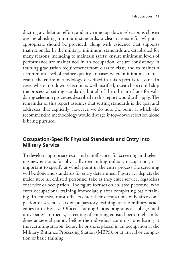ducting a validation effort, and any time top-down selection is chosen over establishing minimum standards, a clear rationale for why it is appropriate should be provided, along with evidence that supports that rationale. In the military, minimum standards are established for many reasons, including to maintain safety, ensure minimum levels of performance are maintained in an occupation, ensure consistency in training graduation requirements from class to class, and to maintain a minimum level of trainee quality. In cases where minimums are relevant, the entire methodology described in this report is relevant. In cases where top-down selection is well justified, researchers could skip the process of setting standards, but all of the other methods for validating selection processes described in this report would still apply. The remainder of this report assumes that setting standards is the goal and addresses that explicitly; however, we do note the point at which the recommended methodology would diverge if top-down selection alone is being pursued.

## **Occupation-Specific Physical Standards and Entry into Military Service**

To develop appropriate tests and cutoff scores for screening and selecting new entrants for physically demanding military occupations, it is important to specify at which point in the entry process the screening will be done and standards for entry determined. Figure 1.1 depicts the major steps all enlisted personnel take as they enter service, regardless of service or occupation. The figure focuses on enlisted personnel who enter occupational training immediately after completing basic training. In contrast, most officers enter their occupations only after completion of several years of preparatory training, at the military academies or in Reserve Officer Training Corps programs at colleges and universities. In theory, screening of entering enlisted personnel can be done at several points: before the individual commits to enlisting at the recruiting station, before he or she is placed in an occupation at the Military Entrance Processing Station (MEPS), or at arrival or completion of basic training.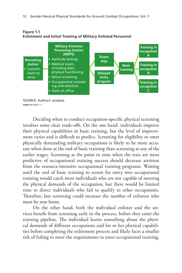

**Figure 1.1 Enlistment and Initial Training of Military Enlisted Personnel**

Deciding when to conduct occupation-specific physical screening involves some clear trade-offs. On the one hand, individuals improve their physical capabilities in basic training, but the level of improvement varies and is difficult to predict. Screening for eligibility to enter physically demanding military occupations is likely to be more accurate when done at the end of basic training than screening at any of the earlier stages. Screening at the point in time when the tests are most predictive of occupational training success should decrease attrition from the resource-intensive occupational training programs. Waiting until the end of basic training to screen for entry into occupational training would catch most individuals who are not capable of meeting the physical demands of the occupation, but there would be limited time to direct individuals who fail to qualify to other occupations. Therefore, late screening could increase the number of enlistees who must be sent home.

On the other hand, both the individual enlistee and the services benefit from screening early in the process, before they enter the training pipeline. The individual learns something about the physical demands of different occupations and his or her physical capabilities before completing the enlistment process and likely faces a smaller risk of failing to meet the requirements to enter occupational training.

SOURCE: Authors' analysis. **RAND** *RR1340/1-1.1*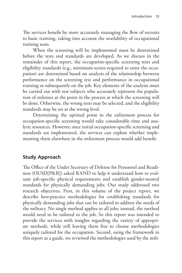The services benefit by more accurately managing the flow of recruits to basic training, taking into account the availability of occupational training seats.

When the screening will be implemented must be determined before the tests and standards are developed. As we discuss in the remainder of this report, the occupation-specific screening tests and eligibility standards (e.g., minimum scores required to enter the occupation) are determined based on analysis of the relationship between performance on the screening test and performance in occupational training or subsequently on the job. Key elements of the analysis must be carried out with test subjects who accurately represent the population of enlistees at the point in the process at which the screening will be done. Otherwise, the wrong tests may be selected, and the eligibility standards may be set at the wrong level.

Determining the optimal point in the enlistment process for occupation-specific screening would take considerable time and analytic resources. However, once initial occupation-specific screening and standards are implemented, the services can explore whether implementing them elsewhere in the enlistment process would add benefit.

## **Study Approach**

The Office of the Under Secretary of Defense for Personnel and Readiness (OUSD[P&R]) asked RAND to help it understand how to evaluate job-specific physical requirements and establish gender-neutral standards for physically demanding jobs. Our study addressed two research objectives. First, in this volume of the project report, we describe best-practice methodologies for establishing standards for physically demanding jobs that can be tailored to address the needs of the military. No single method applies to all jobs; instead, the method would need to be tailored to the job. So this report was intended to provide the services with insights regarding the variety of appropriate methods, while still leaving them free to choose methodologies uniquely tailored for the occupation. Second, using the framework in this report as a guide, we reviewed the methodologies used by the mili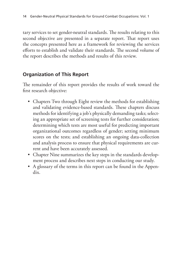tary services to set gender-neutral standards. The results relating to this second objective are presented in a separate report. That report uses the concepts presented here as a framework for reviewing the services efforts to establish and validate their standards. The second volume of the report describes the methods and results of this review.

## **Organization of This Report**

The remainder of this report provides the results of work toward the first research objective:

- Chapters Two through Eight review the methods for establishing and validating evidence-based standards. These chapters discuss methods for identifying a job's physically demanding tasks; selecting an appropriate set of screening tests for further consideration; determining which tests are most useful for predicting important organizational outcomes regardless of gender; setting minimum scores on the tests; and establishing an ongoing data-collection and analysis process to ensure that physical requirements are current and have been accurately assessed.
- Chapter Nine summarizes the key steps in the standards development process and describes next steps in conducting our study.
- A glossary of the terms in this report can be found in the Appendix.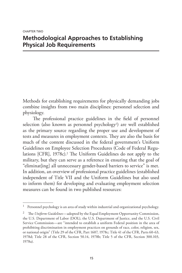# **Methodological Approaches to Establishing Physical Job Requirements**

Methods for establishing requirements for physically demanding jobs combine insights from two main disciplines: personnel selection and physiology.

The professional practice guidelines in the field of personnel selection (also known as personnel psychology<sup>1</sup>) are well established as the primary source regarding the proper use and development of tests and measures in employment contexts. They are also the basis for much of the content discussed in the federal government's Uniform Guidelines on Employee Selection Procedures (Code of Federal Regulations [CFR], 1978c).2 The Uniform Guidelines do not apply to the military, but they can serve as a reference in ensuring that the goal of "eliminat[ing] all unnecessary gender-based barriers to service" is met. In addition, an overview of professional practice guidelines (established independent of Title VII and the Uniform Guidelines but also used to inform them) for developing and evaluating employment selection measures can be found in two published resources:

<sup>1</sup> Personnel psychology is an area of study within industrial and organizational psychology.

<sup>2</sup> The *Uniform Guidelines*—adopted by the Equal Employment Opportunity Commission, the U.S. Department of Labor (DOL), the U.S. Department of Justice, and the U.S. Civil Service Commission—are "intended to establish a uniform Federal position in the area of prohibiting discrimination in employment practices on grounds of race, color, religion, sex, or national origin" (Title 29 of the CFR, Part 1607, 1978c; Title 41 of the CFR, Parts 60-63, 1978d; Title 28 of the CFR, Section 50.14, 1978b; Title 5 of the CFR, Section 300.103, 1978a).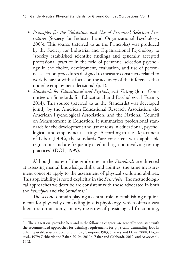- *Principles for the Validation and Use of Personnel Selection Procedures* (Society for Industrial and Organizational Psychology, 2003). This source (referred to as the Principles) was produced by the Society for Industrial and Organizational Psychology to "specify established scientific findings and generally accepted professional practice in the field of personnel selection psychology in the choice, development, evaluation, and use of personnel selection procedures designed to measure constructs related to work behavior with a focus on the accuracy of the inferences that underlie employment decisions" (p. 1).
- *Standards for Educational and Psychological Testing* (Joint Committee on Standards for Educational and Psychological Testing, 2014). This source (referred to as the Standards) was developed jointly by the American Educational Research Association, the American Psychological Association, and the National Council on Measurement in Education. It summarizes professional standards for the development and use of tests in educational, psychological, and employment settings. According to the Department of Labor (DOL), the standards "are consistent with applicable regulations and are frequently cited in litigation involving testing practices" (DOL, 1999).

Although many of the guidelines in the *Standards* are directed at assessing mental knowledge, skills, and abilities, the same measurement concepts apply to the assessment of physical skills and abilities. This applicability is noted explicitly in the *Principles*. The methodological approaches we describe are consistent with those advocated in both the *Principles* and the *Standards*. 3

The second domain playing a central role in establishing requirements for physically demanding jobs is physiology, which offers a vast literature on anatomy, injury, measures of physiological functioning,

 $3$  The suggestions provided here and in the following chapters are generally consistent with the recommended approaches for defining requirements for physically demanding jobs in other reputable sources. See, for example, Campion, 1983; Sharkey and Davis, 2008; Hogan et al., 1979; Gebhardt and Baker, 2010a, 2010b; Baker and Gebhardt, 2012; and Arvey et al., 1992.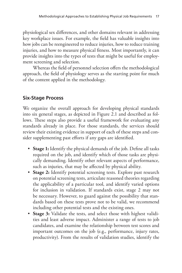physiological sex differences, and other domains relevant in addressing key workplace issues. For example, the field has valuable insights into how jobs can be reengineered to reduce injuries, how to reduce training injuries, and how to measure physical fitness. Most importantly, it can provide insights into the types of tests that might be useful for employment screening and selection.

Whereas the field of personnel selection offers the methodological approach, the field of physiology serves as the starting point for much of the content applied in the methodology.

# **Six-Stage Process**

We organize the overall approach for developing physical standards into six general stages, as depicted in Figure 2.1 and described as follows. These steps also provide a useful framework for evaluating any standards already in place. For those standards, the services should review their existing evidence in support of each of these steps and consider supplementing past efforts if any gaps are identified.

- **Stage 1:** Identify the physical demands of the job. Define all tasks required on the job, and identify which of those tasks are physically demanding. Identify other relevant aspects of performance, such as injuries, that may be affected by physical ability.
- **Stage 2:** Identify potential screening tests. Explore past research on potential screening tests, articulate reasoned theories regarding the applicability of a particular tool, and identify varied options for inclusion in validation. If standards exist, stage 2 may not be necessary. However, to guard against the possibility that standards based on these tests prove not to be valid, we recommend including other potential tests and the existing ones.
- **Stage 3:** Validate the tests, and select those with highest validities and least adverse impact. Administer a range of tests to job candidates, and examine the relationship between test scores and important outcomes on the job (e.g., performance, injury rates, productivity). From the results of validation studies, identify the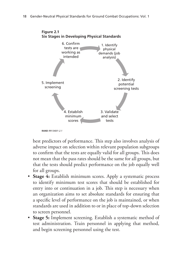

best predictors of performance. This step also involves analysis of adverse impact on selection within relevant population subgroups to confirm that the tests are equally valid for all groups. This does not mean that the pass rates should be the same for all groups, but that the tests should predict performance on the job equally well for all groups.

- **Stage 4:** Establish minimum scores. Apply a systematic process to identify minimum test scores that should be established for entry into or continuation in a job. This step is necessary when an organization aims to set absolute standards for ensuring that a specific level of performance on the job is maintained, or when standards are used in addition to or in place of top-down selection to screen personnel.
- **Stage 5:** Implement screening. Establish a systematic method of test administration. Train personnel in applying that method, and begin screening personnel using the test.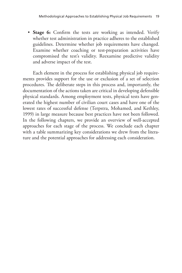• **Stage 6:** Confirm the tests are working as intended. Verify whether test administration in practice adheres to the established guidelines. Determine whether job requirements have changed. Examine whether coaching or test-preparation activities have compromised the test's validity. Reexamine predictive validity and adverse impact of the test.

Each element in the process for establishing physical job requirements provides support for the use or exclusion of a set of selection procedures. The deliberate steps in this process and, importantly, the documentation of the actions taken are critical in developing defensible physical standards. Among employment tests, physical tests have generated the highest number of civilian court cases and have one of the lowest rates of successful defense (Terpstra, Mohamed, and Kethley, 1999) in large measure because best practices have not been followed. In the following chapters, we provide an overview of well-accepted approaches for each stage of the process. We conclude each chapter with a table summarizing key considerations we drew from the literature and the potential approaches for addressing each consideration.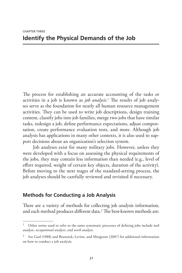The process for establishing an accurate accounting of the tasks or activities in a job is known as *job analysis*. 1 The results of job analyses serve as the foundation for nearly all human resource management activities. They can be used to write job descriptions, design training content, classify jobs into job families, merge two jobs that have similar tasks, redesign a job, define performance expectations, adjust compensation, create performance evaluation tests, and more. Although job analysis has applications in many other contexts, it is also used to support decisions about an organization's selection system.

Job analyses exist for many military jobs. However, unless they were developed with a focus on assessing the physical requirements of the jobs, they may contain less information than needed (e.g., level of effort required, weight of certain key objects, duration of the activity). Before moving to the next stages of the standard-setting process, the job analyses should be carefully reviewed and revisited if necessary.

## **Methods for Conducting a Job Analysis**

There are a variety of methods for collecting job analysis information, and each method produces different data.2 The best-known methods are:

<sup>1</sup> Other terms used to refer to the same systematic processes of defining jobs include *task analysis*, *occupational analysis*, and *work analysis*.

<sup>&</sup>lt;sup>2</sup> See Gael (1988) and Brannick, Levine, and Morgeson (2007) for additional information on how to conduct a job analysis.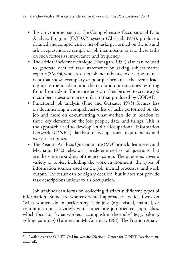- Task inventories, such as the Comprehensive Occupational Data Analysis Program (CODAP) system (Christal, 1974), produce a detailed and comprehensive list of tasks performed on the job and ask a representative sample of job incumbents to rate these tasks on such factors as importance and frequency.
- The critical-incident technique (Flanagan, 1954) also can be used to generate detailed task statements by asking subject-matter experts (SMEs), who are often job incumbents, to describe an incident that shows exemplary or poor performance, the events leading up to the incident, and the resolution or outcomes resulting from the incident. Those incidents can then be used to create a job incumbent questionnaire similar to that produced by CODAP.
- Functional job analysis (Fine and Getkate, 1995) focuses less on documenting a comprehensive list of tasks performed on the job and more on documenting what workers do in relation to three key elements on the job: people, data, and things. This is the approach used to develop DOL's Occupational Information Network (O\*NET) database of occupational requirements and worker attributes.3
- The Position Analysis Questionnaire (McCormick, Jeanneret, and Mecham, 1972) relies on a predetermined set of questions that are the same regardless of the occupation. The questions cover a variety of topics, including the work environment, the types of information sources used on the job, mental processes, and work output. The result can be highly detailed, but it does not provide task descriptions unique to an occupation.

Job analyses can focus on collecting distinctly different types of information. Some are worker-oriented approaches*,* which focus on "what workers do in performing their jobs (e.g., visual, manual, or communication activities), while others are job-oriented approaches*,*  which focus on "what workers accomplish in their jobs" (e.g., baking, selling, painting) (Palmer and McCormick, 1961). The Position Analy-

<sup>&</sup>lt;sup>3</sup> Available at the O\*NET OnLine website (National Center for O\*NET Development, undated).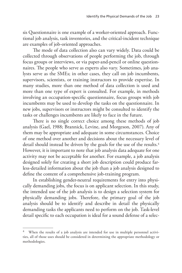sis Questionnaire is one example of a worker-oriented approach. Functional job analysis, task inventories, and the critical-incident technique are examples of job-oriented approaches.

The mode of data collection also can vary widely. Data could be collected through observations of people performing the job, through focus groups or interviews, or via paper-and-pencil or online questionnaires. The people who serve as experts also vary. Sometimes, job analysts serve as the SMEs; in other cases, they call on job incumbents, supervisors, scientists, or training instructors to provide expertise. In many studies, more than one method of data collection is used and more than one type of expert is consulted. For example, in methods involving an occupation-specific questionnaire, focus groups with job incumbents may be used to develop the tasks on the questionnaire. In new jobs, supervisors or instructors might be consulted to identify the tasks or challenges incumbents are likely to face in the future.

There is no single correct choice among these methods of job analysis (Gael, 1988; Brannick, Levine, and Morgeson, 2007). Any of them may be appropriate and adequate in some circumstances. Choice of one method over another and decisions about the necessary level of detail should instead be driven by the goals for the use of the results.<sup>4</sup> However, it is important to note that job analysis data adequate for one activity may not be acceptable for another. For example, a job analysis designed solely for creating a short job description could produce farless-detailed information about the job than a job analysis designed to define the content of a comprehensive job-training program.

In establishing gender-neutral requirements for entry into physically demanding jobs, the focus is on applicant selection. In this study, the intended use of the job analysis is to design a selection system for physically demanding jobs. Therefore, the primary goal of the job analysis should be to identify and describe in detail the physically demanding tasks the applicants need to perform on the job. Task-level detail specific to each occupation is ideal for a sound defense of a selec-

When the results of a job analysis are intended for use in multiple personnel activities, all of those uses should be considered in determining the appropriate methodology or methodologies.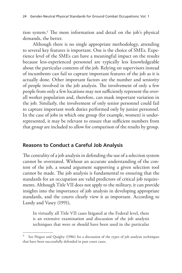tion system.5 The more information and detail on the job's physical demands, the better.

Although there is no single appropriate methodology, attending to several key features is important. One is the choice of SMEs. Experience level of the SMEs can have a meaningful impact on the results because less-experienced personnel are typically less knowledgeable about the particular contents of the job. Relying on supervisors instead of incumbents can fail to capture important features of the job as it is actually done. Other important factors are the number and seniority of people involved in the job analysis. The involvement of only a few people from only a few locations may not sufficiently represent the overall worker population and, therefore, can mask important variation in the job. Similarly, the involvement of only senior personnel could fail to capture important work duties performed only by junior personnel. In the case of jobs in which one group (for example, women) is underrepresented, it may be relevant to ensure that sufficient numbers from that group are included to allow for comparison of the results by group.

## **Reasons to Conduct a Careful Job Analysis**

The centrality of a job analysis in defending the use of a selection system cannot be overstated. Without an accurate understanding of the content of the job, a sound argument supporting a given selection tool cannot be made. The job analysis is fundamental to ensuring that the standards for an occupation are valid predictors of critical job requirements. Although Title VII does not apply to the military, it can provide insights into the importance of job analysis in developing appropriate standards, and the courts clearly view it as important. According to Landy and Vasey (1991),

In virtually all Title VII cases litigated at the Federal level, there is an extensive examination and discussion of the job analysis techniques that were or should have been used in the particular

<sup>5</sup> See Hogan and Quigley (1986) for a discussion of the types of job analysis techniques that have been successfully defended in past court cases.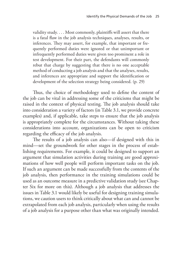validity study. . . . Most commonly, plaintiffs will assert that there is a fatal flaw in the job analysis techniques, analyses, results, or inferences. They may assert, for example, that important or frequently performed duties were ignored or that unimportant or infrequently performed duties were given too prominent a role in test development. For their part, the defendants will commonly rebut that charge by suggesting that there is no one acceptable method of conducting a job analysis and that the analyses, results, and inferences are appropriate and support the identification or development of the selection strategy being considered. (p. 29)

Thus, the choice of methodology used to define the content of the job can be vital in addressing some of the criticisms that might be raised in the context of physical testing. The job analysis should take into consideration a variety of factors (in Table 3.1, we provide concrete examples) and, if applicable, take steps to ensure that the job analysis is appropriately complete for the circumstances. Without taking these considerations into account, organizations can be open to criticism regarding the efficacy of the job analysis.

The results of a job analysis can also—if designed with this in mind—set the groundwork for other stages in the process of establishing requirements. For example, it could be designed to support an argument that simulation activities during training are good approximations of how well people will perform important tasks on the job. If such an argument can be made successfully from the contents of the job analysis, then performance in the training simulations could be used as an outcome measure in a predictive validation study (see Chapter Six for more on this). Although a job analysis that addresses the issues in Table 3.1 would likely be useful for designing training simulations, we caution users to think critically about what can and cannot be extrapolated from each job analysis, particularly when using the results of a job analysis for a purpose other than what was originally intended.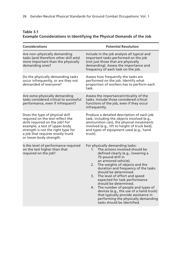| Table 3.1 |                                                                       |
|-----------|-----------------------------------------------------------------------|
|           | Example Considerations in Identifying the Physical Demands of the Job |

| <b>Considerations</b>                                                                                                                                                                                                                        | <b>Potential Resolution</b>                                                                                                                                                                                                                                                                                                                                                                                                                                                                                                                                         |
|----------------------------------------------------------------------------------------------------------------------------------------------------------------------------------------------------------------------------------------------|---------------------------------------------------------------------------------------------------------------------------------------------------------------------------------------------------------------------------------------------------------------------------------------------------------------------------------------------------------------------------------------------------------------------------------------------------------------------------------------------------------------------------------------------------------------------|
| Are non-physically demanding<br>tasks (and therefore other skill sets)<br>more important than the physically<br>demanding ones?                                                                                                              | Include in the job analysis all typical and<br>important tasks performed on the job<br>(not just those that are physically<br>demanding). Assess the importance and<br>frequency of each task on the job.                                                                                                                                                                                                                                                                                                                                                           |
| Do the physically demanding tasks<br>occur infrequently, or are they not<br>demanded of everyone?                                                                                                                                            | Assess how frequently the tasks are<br>performed on the job. Identify what<br>proportion of workers has to perform each<br>task.                                                                                                                                                                                                                                                                                                                                                                                                                                    |
| Are some physically demanding<br>tasks considered critical to successful<br>performance, even if infrequent?                                                                                                                                 | Assess the importance/criticality of the<br>tasks. Include those considered critical<br>functions of the job, even if they occur<br>infrequently.                                                                                                                                                                                                                                                                                                                                                                                                                   |
| Does the type of physical skill<br>required on the test reflect the<br>skills required on the job? For<br>example, a test of upper-body<br>strength is not the right type for<br>a job that requires mostly trunk<br>or lower-body strength. | Produce a detailed description of each job<br>task, including the objects involved (e.g.,<br>ammunition can), the physical movements<br>involved (e.g., lift to height of truck bed),<br>and types of equipment used (e.g., hand<br>truck).                                                                                                                                                                                                                                                                                                                         |
| Is the level of performance required<br>on the test higher than that<br>required on the job?                                                                                                                                                 | For physically demanding tasks:<br>The actions involved should be<br>1.<br>defined clearly (e.g., lowering a<br>75-pound drill in<br>an armored vehicle).<br>The weights of objects and the<br>2.<br>duration and frequency of the tasks<br>should be determined.<br>3.<br>The level of effort and speed<br>expected for task performance<br>should be determined.<br>4. The number of people and types of<br>devices (e.g., the use of a hand truck)<br>that typically provide assistance in<br>performing the physically demanding<br>tasks should be identified. |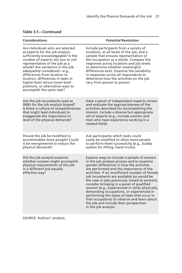| <b>Considerations</b>                                                                                                                                                                                                                                                                                                                                                                                                        | <b>Potential Resolution</b>                                                                                                                                                                                                                                                                                                                                                                                                                                                                                                                                                                                                              |
|------------------------------------------------------------------------------------------------------------------------------------------------------------------------------------------------------------------------------------------------------------------------------------------------------------------------------------------------------------------------------------------------------------------------------|------------------------------------------------------------------------------------------------------------------------------------------------------------------------------------------------------------------------------------------------------------------------------------------------------------------------------------------------------------------------------------------------------------------------------------------------------------------------------------------------------------------------------------------------------------------------------------------------------------------------------------------|
| Are individuals who are selected<br>as experts for the job analysis<br>sufficiently knowledgeable? Is the<br>number of experts too low or not<br>representative of the job as a<br>whole? Are variations in the job<br>adequately considered—e.g.,<br>differences from location to<br>location, differences in tasks in<br>higher-level versus lower-level<br>positions, or alternative ways to<br>accomplish the same task? | Include participants from a variety of<br>locations, at all levels of the job, and a<br>sample that ensures representation of<br>the occupation as a whole. Compare the<br>responses across locations and job levels<br>to determine whether meaningful<br>differences exist. Examine the variability<br>in responses across all respondents to<br>determine how the activities on the job<br>vary from person to person.                                                                                                                                                                                                                |
| Are the job incumbents used as<br>SMEs for the job analysis biased?<br>Is there a culture of competitiveness<br>that might lead individuals to<br>exaggerate the importance or<br>level of the physical demands?                                                                                                                                                                                                             | Have a panel of independent experts review<br>and evaluate the appropriateness of the<br>activities described for accomplishing the<br>mission. Include a diverse but appropriate<br>set of experts (e.g., include women and<br>men who have experience working in a<br>related field).                                                                                                                                                                                                                                                                                                                                                  |
| Should the job be modified to<br>accommodate more people? Could<br>it be reengineered to reduce the<br>physical demands?                                                                                                                                                                                                                                                                                                     | Ask participants which tasks could<br>easily be modified to allow more people<br>to perform them successfully (e.g., buddy<br>system for lifting, hand trucks).                                                                                                                                                                                                                                                                                                                                                                                                                                                                          |
| Did the job analysis examine<br>whether women might accomplish<br>physical requirements of the job<br>in a different but equally<br>effective way?                                                                                                                                                                                                                                                                           | Explore ways to include a sample of women<br>in the job analysis process and to examine<br>gender differences in how the activities<br>are performed and the importance of the<br>activities. If an insufficient number of female<br>job incumbents are available (as would be<br>the case in jobs previously closed to women),<br>consider bringing in a panel of qualified<br>women (e.g., experienced in other physically<br>demanding occupations, or experienced in<br>performing the types of tasks that occur in<br>that occupation) to observe and learn about<br>the job and include their perspectives<br>in the job analysis. |

### **Table 3.1—Continued**

SOURCE: Authors' analysis.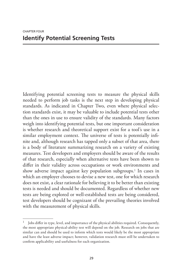Identifying potential screening tests to measure the physical skills needed to perform job tasks is the next step in developing physical standards. As indicated in Chapter Two, even where physical selection standards exist, it may be valuable to include potential tests other than the ones in use to ensure validity of the standards. Many factors weigh into identifying potential tests, but one important consideration is whether research and theoretical support exist for a tool's use in a similar employment context. The universe of tests is potentially infinite and, although research has tapped only a subset of that area, there is a body of literature summarizing research on a variety of existing measures. Test developers and employers should be aware of the results of that research, especially when alternative tests have been shown to differ in their validity across occupations or work environments and show adverse impact against key population subgroups.<sup>1</sup> In cases in which an employer chooses to devise a new test, one for which research does not exist, a clear rationale for believing it to be better than existing tests is needed and should be documented. Regardless of whether new tests are being explored or well-established tests are being considered, test developers should be cognizant of the prevailing theories involved with the measurement of physical skills.

<sup>1</sup> Jobs differ in type, level, and importance of the physical abilities required. Consequently, the most appropriate physical-ability test will depend on the job. Research on jobs that are similar can and should be used to inform which tests would likely be the most appropriate and have the least adverse impact; however, validation research must still be undertaken to confirm applicability and usefulness for each organization.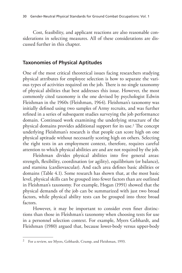Cost, feasibility, and applicant reactions are also reasonable considerations in selecting measures. All of these considerations are discussed further in this chapter.

## **Taxonomies of Physical Aptitudes**

One of the most critical theoretical issues facing researchers studying physical attributes for employee selection is how to separate the various types of activities required on the job. There is no single taxonomy of physical abilities that best addresses this issue. However, the most commonly cited taxonomy is the one devised by psychologist Edwin Fleishman in the 1960s (Fleishman, 1964). Fleishman's taxonomy was initially defined using two samples of Army recruits, and was further refined in a series of subsequent studies surveying the job performance domain. Continued work examining the underlying structure of the physical domains provides additional support for its use.2 The concept underlying Fleishman's research is that people can score high on one physical aptitude without necessarily scoring high on others. Selecting the right tests in an employment context, therefore, requires careful attention to which physical abilities are and are not required by the job.

Fleishman divides physical abilities into five general areas: strength, flexibility, coordination (or agility), equilibrium (or balance), and stamina (cardiovascular). And each area defines basic abilities or domains (Table 4.1). Some research has shown that, at the most basic level, physical skills can be grouped into fewer factors than are outlined in Fleishman's taxonomy. For example, Hogan (1991) showed that the physical demands of the job can be summarized with just two broad factors, while physical ability tests can be grouped into three broad factors.

However, it may be important to consider even finer distinctions than those in Fleishman's taxonomy when choosing tests for use in a personnel selection context. For example, Myers Gebhardt, and Fleishman (1980) argued that, because lower-body versus upper-body

<sup>2</sup> For a review, see Myers, Gebhardt, Crump, and Fleishman, 1993.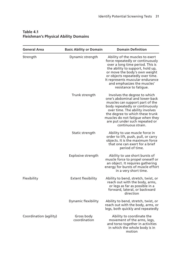| <b>General Area</b>    | <b>Basic Ability or Domain</b> | <b>Domain Definition</b>                                                                                                                                                                                                                                                                                      |
|------------------------|--------------------------------|---------------------------------------------------------------------------------------------------------------------------------------------------------------------------------------------------------------------------------------------------------------------------------------------------------------|
| Strength               | Dynamic strength               | Ability of the muscles to exert<br>force repeatedly or continuously<br>over a long time period. This is<br>the ability to support, hold up,<br>or move the body's own weight<br>or objects repeatedly over time.<br>It represents muscular endurance<br>and emphasizes the muscles'<br>resistance to fatique. |
|                        | Trunk strength                 | Involves the degree to which<br>one's abdominal and lower-back<br>muscles can support part of the<br>body repeatedly or continuously<br>over time. The ability involves<br>the degree to which these trunk<br>muscles do not fatigue when they<br>are put under such repeated or<br>continuous strain.        |
|                        | Static strength                | Ability to use muscle force in<br>order to lift, push, pull, or carry<br>objects. It is the maximum force<br>that one can exert for a brief<br>period of time.                                                                                                                                                |
|                        | Explosive strength             | Ability to use short bursts of<br>muscle force to propel oneself or<br>an object. It requires gathering<br>energy for bursts of muscle effort<br>in a very short time.                                                                                                                                        |
| Flexibility            | <b>Extent flexibility</b>      | Ability to bend, stretch, twist, or<br>reach out with the body, arms,<br>or legs as far as possible in a<br>forward, lateral, or backward<br>direction                                                                                                                                                        |
|                        | Dynamic flexibility            | Ability to bend, stretch, twist, or<br>reach out with the body, arms, or<br>legs, both quickly and repeatedly                                                                                                                                                                                                 |
| Coordination (agility) | Gross body<br>coordination     | Ability to coordinate the<br>movement of the arms, legs,<br>and torso together in activities<br>in which the whole body is in<br>motion                                                                                                                                                                       |

#### **Table 4.1 Fleishman's Physical Ability Domains**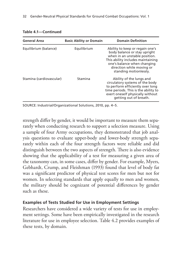| <b>General Area</b>      | <b>Basic Ability or Domain</b> | <b>Domain Definition</b>                                                                                                                                                                                                    |
|--------------------------|--------------------------------|-----------------------------------------------------------------------------------------------------------------------------------------------------------------------------------------------------------------------------|
| Equilibrium (balance)    | Equilibrium                    | Ability to keep or regain one's<br>body balance or stay upright<br>when in an unstable position.<br>This ability includes maintaining<br>one's balance when changing<br>direction while moving or<br>standing motionlessly. |
| Stamina (cardiovascular) | Stamina                        | Ability of the lungs and<br>circulatory systems of the body<br>to perform efficiently over long<br>time periods. This is the ability to<br>exert oneself physically without<br>getting out of breath.                       |

#### **Table 4.1—Continued**

SOURCE: Industrial/Organizational Solutions, 2010, pp. 4–5.

strength differ by gender, it would be important to measure them separately when conducting research to support a selection measure. Using a sample of four Army occupations, they demonstrated that job analysis questions to evaluate upper-body and lower-body strength separately within each of the four strength factors were reliable and did distinguish between the two aspects of strength. There is also evidence showing that the applicability of a test for measuring a given area of the taxonomy can, in some cases, differ by gender. For example, Myers, Gebhardt, Crump, and Fleishman (1993) found that level of body fat was a significant predictor of physical test scores for men but not for women. In selecting standards that apply equally to men and women, the military should be cognizant of potential differences by gender such as these.

#### **Examples of Tests Studied for Use in Employment Settings**

Researchers have considered a wide variety of tests for use in employment settings. Some have been empirically investigated in the research literature for use in employee selection. Table 4.2 provides examples of these tests, by domain.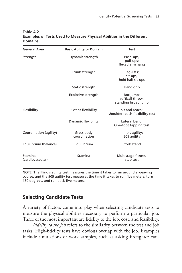| <b>General Area</b>         | <b>Basic Ability or Domain</b> | <b>Test</b>                                         |
|-----------------------------|--------------------------------|-----------------------------------------------------|
| Strength                    | Dynamic strength               | Push-ups;<br>pull-ups;<br>flexed arm hang           |
|                             | Trunk strength                 | Leg-lifts;<br>sit-ups;<br>hold half sit-ups         |
|                             | Static strength                | Hand grip                                           |
|                             | Explosive strength             | Box jump;<br>softball throw;<br>standing broad jump |
| Flexibility                 | <b>Extent flexibility</b>      | Sit and reach;<br>shoulder reach flexibility test   |
|                             | Dynamic flexibility            | Lateral bend;<br>One-foot tapping test              |
| Coordination (agility)      | Gross body<br>coordination     | Illinois agility;<br>505 agility                    |
| Equilibrium (balance)       | Equilibrium                    | Stork stand                                         |
| Stamina<br>(cardiovascular) | Stamina                        | Multistage fitness;<br>step test                    |

#### **Table 4.2 Examples of Tests Used to Measure Physical Abilities in the Different Domains**

NOTE: The Illinois agility test measures the time it takes to run around a weaving course, and the 505 agility test measures the time it takes to run five meters, turn 180 degrees, and run back five meters.

# **Selecting Candidate Tests**

A variety of factors come into play when selecting candidate tests to measure the physical abilities necessary to perform a particular job. Three of the most important are fidelity to the job, cost, and feasibility.

*Fidelity to the job* refers to the similarity between the test and job tasks. High-fidelity tests have obvious overlap with the job. Examples include simulations or work samples, such as asking firefighter can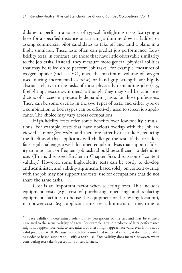didates to perform a variety of typical firefighting tasks (carrying a hose for a specified distance or carrying a dummy down a ladder) or asking commercial pilot candidates to take off and land a plane in a flight simulator. These tests often can predict job performance. Lowfidelity tests, in contrast, are those that have little observable similarity to the job tasks. Instead, they measure more-general physical abilities that may be relied on to perform job tasks. For example, measures of oxygen uptake (such as  $\rm VO_{2}$  max, the maximum volume of oxygen used during incremental exercise) or hand-grip strength are highly abstract relative to the tasks of most physically demanding jobs (e.g., firefighting, rescue swimmers), although they may still be valid predictors of success in physically demanding tasks for those professions. There can be some overlap in the two types of tests, and either type or a combination of both types can be effectively used to screen job applicants. The choice may vary across occupations.

High-fidelity tests offer some benefits over low-fidelity simulations. For example, tests that have obvious overlap with the job are viewed as more *face valid*<sup>3</sup> and therefore fairer by test-takers, reducing the likelihood that applicants will challenge the test. If the test does face legal challenge, a well-documented job analysis that supports fidelity to important or frequent job tasks should be sufficient to defend its use. (This is discussed further in Chapter Six's discussion of content validity.) However, some high-fidelity tests can be costly to develop and administer, and validity arguments based solely on content overlap with the job may not support the tests' use for occupations that do not share the same tasks.

Cost is an important factor when selecting tests. This includes equipment costs (e.g., cost of purchasing, operating, and replacing equipment; facilities to house the equipment or the testing location), manpower costs (e.g., applicant time, test administrator time, time to

 $3$  Face validity is determined solely by lay perceptions of the test and may be entirely unrelated to the actual validity of a test. For example, a valid predictor of later performance might not appear face valid to test-takers, or a test might appear face valid even if it is not a valid predictor at all. Because face validity is unrelated to actual validity, it does not qualify as evidence-based support to justify a test's use. Face validity does matter, however, when considering test-taker's perceptions of test fairness.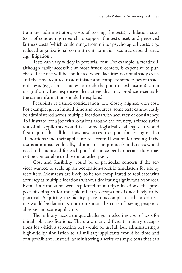train test administrators, costs of scoring the tests), validation costs (cost of conducting research to support the test's use), and perceived fairness costs (which could range from minor psychological costs, e.g., reduced organizational commitment, to major resource expenditures, e.g., litigation).

Tests can vary widely in potential cost. For example, a treadmill, although easily accessible at most fitness centers, is expensive to purchase if the test will be conducted where facilities do not already exist, and the time required to administer and complete some types of treadmill tests (e.g., time it takes to reach the point of exhaustion) is not insignificant. Less expensive alternatives that may produce essentially the same information should be explored.

Feasibility is a third consideration, one closely aligned with cost. For example, given limited time and resources, some tests cannot easily be administered across multiple locations with accuracy or consistency. To illustrate, for a job with locations around the country, a timed swim test of all applicants would face some logistical challenges. It would first require that all locations have access to a pool for testing or that all locations send their applicants to a central location for testing. If the test is administered locally, administration protocols and scores would need to be adjusted for each pool's distance per lap because laps may not be comparable to those in another pool.

Cost and feasibility would be of particular concern if the services wanted to scale up an occupation-specific simulation for use by recruiters. Most tests are likely to be too complicated to replicate with accuracy at multiple locations without dedicating significant resources. Even if a simulation were replicated at multiple locations, the prospect of doing so for multiple military occupations is not likely to be practical. Acquiring the facility space to accomplish such broad testing would be daunting, not to mention the costs of paying people to observe and score applicants.

The military faces a unique challenge in selecting a set of tests for initial job classifications. There are many different military occupations for which a screening test would be useful. But administering a high-fidelity simulation to all military applicants would be time and cost prohibitive. Instead, administering a series of simple tests that can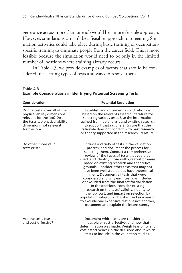generalize across more than one job would be a more-feasible approach. However, simulations can still be a feasible approach to screening. Simulation activities could take place during basic training or occupationspecific training to eliminate people from the career field. This is more feasible because the simulation would need to be only in the limited number of locations where training already occurs.

In Table 4.3, we provide examples of factors that should be considered in selecting types of tests and ways to resolve them.

| Consideration                                                                                                                                                         | <b>Potential Resolution</b>                                                                                                                                                                                                                                                                                                                                                                                                                                                                                                                                                                                                                                                                                                                                                                            |
|-----------------------------------------------------------------------------------------------------------------------------------------------------------------------|--------------------------------------------------------------------------------------------------------------------------------------------------------------------------------------------------------------------------------------------------------------------------------------------------------------------------------------------------------------------------------------------------------------------------------------------------------------------------------------------------------------------------------------------------------------------------------------------------------------------------------------------------------------------------------------------------------------------------------------------------------------------------------------------------------|
| Do the tests cover all of the<br>physical ability dimensions<br>relevant for the job? Do<br>the tests tap physical ability<br>dimensions not relevant<br>for the job? | Establish and document a solid rationale<br>based on the relevant research literature for<br>selecting various tests. Use the information<br>gained from job analysis and existing research<br>to support that rationale. Ensure that the<br>rationale does not conflict with past research<br>or theory supported in the research literature.                                                                                                                                                                                                                                                                                                                                                                                                                                                         |
| Do other, more valid<br>tests exist?                                                                                                                                  | Include a variety of tests in the validation<br>process, and document the process for<br>selecting them. Conduct a comprehensive<br>review of the types of tests that could be<br>used, and identify those with greatest promise<br>based on existing research and theoretical<br>grounds. Consider other tests that may not<br>have been well studied but have theoretical<br>merit. Document all tests that were<br>considered and why each test was included<br>or excluded from the final set for validation.<br>In the decisions, consider existing<br>research on the tests' validity, fidelity to<br>the job, cost, and impact on selection by<br>population subgroup. If cost is used as a reason<br>to exclude one expensive test but not another,<br>document and explain the inconsistency. |
| Are the tests feasible<br>and cost-effective?                                                                                                                         | Document which tests are considered not<br>feasible or cost-effective, and how that<br>determination was made. Weigh feasibility and<br>cost-effectiveness in the decisions about which<br>tests to include in the validation studies                                                                                                                                                                                                                                                                                                                                                                                                                                                                                                                                                                  |

**Table 4.3 Example Considerations in Identifying Potential Screening Tests**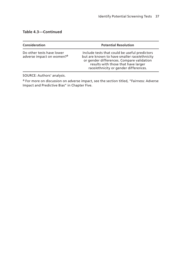#### **Table 4.3—Continued**

| <b>Consideration</b>                                               | <b>Potential Resolution</b>                                                                                                                                                                                                |
|--------------------------------------------------------------------|----------------------------------------------------------------------------------------------------------------------------------------------------------------------------------------------------------------------------|
| Do other tests have lower<br>adverse impact on women? <sup>a</sup> | Include tests that could be useful predictors<br>but are known to have smaller race/ethnicity<br>or gender differences. Compare validation<br>results with those that have larger<br>race/ethnicity or gender differences. |

SOURCE: Authors' analysis.

a For more on discussion on adverse impact, see the section titled, "Fairness: Adverse Impact and Predictive Bias" in Chapter Five.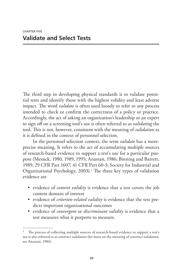The third step in developing physical standards is to validate potential tests and identify those with the highest validity and least adverse impact. The word *validate* is often used loosely to refer to any process intended to check or confirm the correctness of a policy or practice. Accordingly, the act of asking an organization's leadership or an expert to sign off on a screening tool's use is often referred to as *validating* the tool. This is not, however, consistent with the meaning of *validation* as it is defined in the context of personnel selection.

In the personnel selection context, the term *validate* has a moreprecise meaning. It refers to the act of accumulating multiple sources of research-based evidence to support a test's use for a particular purpose (Messick, 1980, 1989, 1995; Anastasi, 1986; Binning and Barrett, 1989; 29 CFR Part 1607; 41 CFR Part 60-3; Society for Industrial and Organizational Psychology, 2003).<sup>1</sup> The three key types of validation evidence are

- evidence of *content validity* is evidence that a test covers the job content domain of interest
- evidence of *criterion-related validity* is evidence that the test predicts important organizational outcomes
- evidence of *convergent* or *discriminant validity* is evidence that a test measures what it purports to measure.

The process of collecting multiple sources of research-based evidence to support a test's use is also referred to as *construct validation* (for more on the meaning of *construct validation*, see Anastasi, 1986).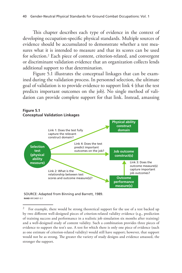This chapter describes each type of evidence in the context of developing occupation-specific physical standards. Multiple sources of evidence should be accumulated to demonstrate whether a test measures what it is intended to measure and that its scores can be used for selection.2 Each piece of content, criterion-related, and convergent or discriminant validation evidence that an organization collects lends additional support to that determination.

Figure 5.1 illustrates the conceptual linkages that can be examined during the validation process. In personnel selection, the ultimate goal of validation is to provide evidence to support link 4 (that the test predicts important outcomes on the job). No single method of validation can provide complete support for that link. Instead, amassing



#### SOURCE: Adapted from Binning and Barrett, 1989. **RAND** *RR1340/1-5.1*

 $2$  For example, there would be strong theoretical support for the use of a test backed up by two different well-designed pieces of criterion-related validity evidence (e.g., prediction of training success and performance in a realistic job simulation six months after training) and a well-designed study of content validity. Such a combination provides three pieces of evidence to support the test's use. A test for which there is only one piece of evidence (such as one estimate of criterion-related validity) would still have support; however, that support would not be as strong. The greater the variety of study designs and evidence amassed, the stronger the support.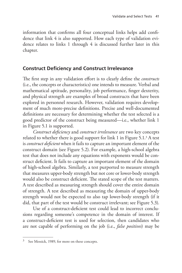information that confirms all four conceptual links helps add confidence that link 4 is also supported. How each type of validation evidence relates to links 1 through 4 is discussed further later in this chapter.

# **Construct Deficiency and Construct Irrelevance**

The first step in any validation effort is to clearly define the *constructs* (i.e., the concepts or characteristics) one intends to measure. Verbal and mathematical aptitude, personality, job performance, finger dexterity, and physical strength are examples of broad constructs that have been explored in personnel research. However, validation requires development of much more-precise definitions. Precise and well-documented definitions are necessary for determining whether the test selected is a good predictor of the construct being measured—i.e., whether link 1 in Figure 5.1 is supported.

*Construct deficiency* and *construct irrelevance* are two key concepts related to whether there is good support for link 1 in Figure 5.1.3 A test is *construct deficient* when it fails to capture an important element of the construct domain (see Figure 5.2). For example, a high-school algebra test that does not include any equations with exponents would be construct deficient. It fails to capture an important element of the domain of high-school algebra. Similarly, a test purported to measure strength that measures upper-body strength but not core or lower-body strength would also be construct deficient. The stated scope of the test matters. A test described as measuring strength should cover the entire domain of strength. A test described as measuring the domain of upper-body strength would not be expected to also tap lower-body strength (if it did, that part of the test would be construct irrelevant; see Figure 5.3).

Use of a construct-deficient test could lead to incorrect conclusions regarding someone's competence in the domain of interest. If a construct-deficient test is used for selection, then candidates who are not capable of performing on the job (i.e., *false positives*) may be

 $3$  See Messick, 1989, for more on these concepts.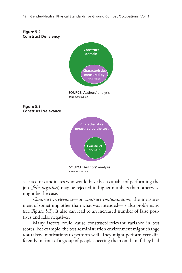

selected or candidates who would have been capable of performing the job (*false negatives*) may be rejected in higher numbers than otherwise might be the case.

*Construct irrelevance*—or *construct contamination*, the measurement of something other than what was intended—is also problematic (see Figure 5.3). It also can lead to an increased number of false positives and false negatives.

Many factors could cause construct-irrelevant variance in test scores. For example, the test administration environment might change test-takers' motivations to perform well. They might perform very differently in front of a group of people cheering them on than if they had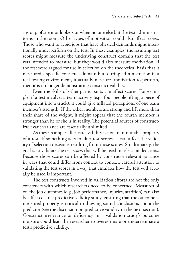a group of silent onlookers or when no one else but the test administrator is in the room. Other types of motivation could also affect scores. Those who want to avoid jobs that have physical demands might intentionally underperform on the test. In these examples, the resulting test scores might measure the underlying construct domain that the test was intended to measure, but they would also measure motivation. If the test were argued for use in selection on the theoretical basis that it measured a specific construct domain but, during administration in a real testing environment, it actually measures motivation to perform, then it is no longer demonstrating construct validity.

Even the skills of other participants can affect scores. For example, if a test involves a team activity (e.g., four people lifting a piece of equipment into a truck), it could give inflated perceptions of one team member's strength. If the other members are strong and lift more than their share of the weight, it might appear that the fourth member is stronger than he or she is in reality. The potential sources of constructirrelevant variance are essentially unlimited.

As these examples illustrate, validity is not an immutable property of a test. If something acts to alter test scores, it can affect the validity of selection decisions resulting from those scores. So ultimately, the goal is to validate the test *scores* that will be used in selection decisions. Because those scores can be affected by construct-irrelevant variance in ways that could differ from context to context, careful attention to validating the test scores in a way that emulates how the test will actually be used is important.

The test constructs involved in validation efforts are not the only constructs with which researchers need to be concerned. Measures of on-the-job outcomes (e.g., job performance, injuries, attrition) can also be affected. In a predictive validity study, ensuring that the outcome is measured properly is critical to drawing sound conclusions about the predictor (see the discussion on predictive validity in the next section). Construct irrelevance or deficiency in a validation study's outcome measure could lead the researcher to overestimate or underestimate a test's predictive validity.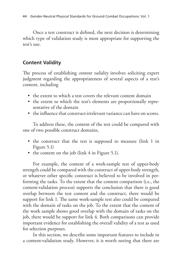Once a test construct is defined, the next decision is determining which type of validation study is most appropriate for supporting the test's use.

# **Content Validity**

The process of establishing *content validity* involves soliciting expert judgment regarding the appropriateness of several aspects of a test's content, including

- the extent to which a test covers the relevant content domain
- the extent to which the test's elements are proportionally representative of the domain
- the influence that construct-irrelevant variance can have on scores.

To address these, the content of the test could be compared with one of two possible construct domains,

- the construct that the test is supposed to measure (link 1 in Figure 5.1)
- the content on the job (link 4 in Figure 5.1).

For example, the content of a work-sample test of upper-body strength could be compared with the construct of upper-body strength, or whatever other specific construct is believed to be involved in performing the tasks. To the extent that the content comparison (i.e., the content-validation process) supports the conclusion that there is good overlap between the test content and the construct, there would be support for link 1. The same work-sample test also could be compared with the domain of tasks on the job. To the extent that the content of the work sample shows good overlap with the domain of tasks on the job, there would be support for link 4. Both comparisons can provide important evidence for establishing the overall validity of a test as used for selection purposes.

In this section, we describe some important features to include in a content-validation study. However, it is worth noting that there are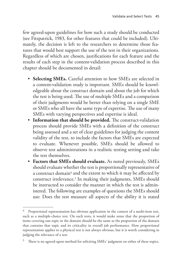few agreed-upon guidelines for how such a study should be conducted (see Fitzpatrick, 1983, for other features that could be included). Ultimately, the decision is left to the researchers to determine those features that would best support the use of the test in their organizations. Regardless of which are chosen, justifications for each feature and the results of each step in the content-validation process described in this chapter should be documented in detail:

- **Selecting SMEs.** Careful attention to how SMEs are selected in a content-validation study is important. SMEs should be knowledgeable about the construct domain and about the job for which the test is being used. The use of multiple SMEs and a comparison of their judgments would be better than relying on a single SME or SMEs who all have the same type of expertise. The use of many SMEs with varying perspectives and expertise is ideal.
- **Information that should be provided.** The construct-validation process should provide SMEs with a definition of the construct being assessed and a set of clear guidelines for judging the content validity of the test, to include the factors that SMEs are expected to evaluate. Whenever possible, SMEs should be allowed to observe test administrations in a realistic testing setting and take the test themselves.
- **Factors that SMEs should evaluate.** As noted previously, SMEs should evaluate whether the test is proportionally representative of a construct domain<sup>4</sup> and the extent to which it may be affected by construct irrelevance.5 In making their judgments, SMEs should be instructed to consider the manner in which the test is administered. The following are examples of questions the SMEs should use: Does the test measure all aspects of the ability it is stated

Proportional representation has obvious application in the context of a multi-item test, such as a multiple-choice test. On such tests, it would make sense that the proportion of items covering one topic in the domain should be the same as the proportion of the domain that contains that topic and its criticality in overall job performance. How proportional representation applies to a physical test is not always obvious, but it is worth considering in judging the relevance of a test.

<sup>5</sup> There is no agreed-upon method for soliciting SMEs' judgment on either of these topics.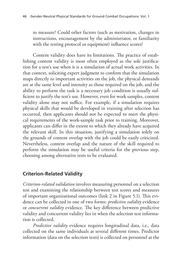to measure? Could other factors (such as motivation, changes in instructions, encouragement by the administrator, or familiarity with the testing protocol or equipment) influence scores?

Content validity does have its limitations. The practice of establishing content validity is most often employed as the sole justification for a test's use when it is a simulation of actual work activities. In that context, soliciting expert judgment to confirm that the simulation maps directly to important activities on the job, the physical demands are at the same level and intensity as those required on the job, and the ability to perform the task is a necessary job condition is usually sufficient to justify the test's use. However, even for work samples, content validity alone may not suffice. For example, if a simulation requires physical skills that would be developed in training after selection has occurred, then applicants should not be expected to meet the physical requirements of the work-sample task prior to training. Moreover, applicants can differ in the extent to which they already have acquired the relevant skill. In this situation, justifying a simulation solely on the grounds of content overlap with the job could be easily criticized. Nevertheless, content overlap and the nature of the skill required to perform the simulation may be useful criteria for the previous step, choosing among alternative tests to be evaluated.

# **Criterion-Related Validity**

*Criterion-related validation* involves measuring personnel on a selection test and examining the relationship between test scores and measures of important organizational outcomes (link 2 in Figure 5.1). This evidence can be collected in one of two forms: *predictive validity* evidence or *concurrent validity* evidence. The key difference between predictive validity and concurrent validity lies in when the selection test information is collected.

*Predictive validity* evidence requires longitudinal data, i.e., data collected on the same individuals at several different times. Predictor information (data on the selection tests) is collected on personnel at the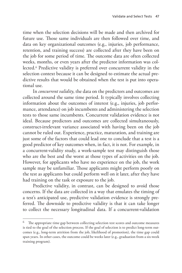time when the selection decisions will be made and then archived for future use. Those same individuals are then followed over time, and data on key organizational outcomes (e.g., injuries, job performance, retention, and training success) are collected after they have been on the job for some period of time. The outcome data are often collected weeks, months, or even years after the predictor information was collected.6 Predictive validity is preferred over concurrent validity in the selection context because it can be designed to estimate the actual predictive results that would be obtained when the test is put into operational use.

In *concurrent validity*, the data on the predictors and outcomes are collected around the same time period. It typically involves collecting information about the outcomes of interest (e.g., injuries, job performance, attendance) on job incumbents and administering the selection tests to those same incumbents. Concurrent validation evidence is not ideal. Because predictors and outcomes are collected simultaneously, construct-irrelevant variance associated with having been on the job cannot be ruled out. Experience, practice, maturation, and training are just some of the factors that could lead one to conclude that a test is a good predictor of key outcomes when, in fact, it is not. For example, in a concurrent-validity study, a work-sample test may distinguish those who are the best and the worst at those types of activities on the job. However, for applicants who have no experience on the job, the work sample may be unfamiliar. Those applicants might perform poorly on the test as applicants but could perform well on it later, after they have had training on the task or exposure to the job.

Predictive validity, in contrast, can be designed to avoid those concerns. If the data are collected in a way that emulates the timing of a test's anticipated use, predictive validation evidence is strongly preferred. The downside to predictive validity is that it can take longer to collect the necessary longitudinal data. If a concurrent-validation

<sup>&</sup>lt;sup>6</sup> The appropriate time gap between collecting selection test scores and outcome measures is tied to the goal of the selection process. If the goal of selection is to predict long-term outcomes (e.g., long-term attrition from the job, likelihood of promotion), the time gap could span years. In other cases, the outcome could be weeks later (e.g., graduation from a six-week training program).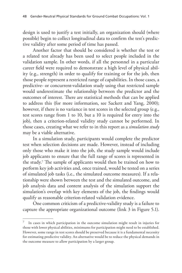design is used to justify a test initially, an organization should (where possible) begin to collect longitudinal data to confirm the test's predictive validity after some period of time has passed.

Another factor that should be considered is whether the test or a related test already has been used to select people included in the validation sample. In other words, if all the personnel in a particular career field were required to demonstrate a high level of physical ability (e.g., strength) in order to qualify for training or for the job, then those people represent a restricted range of capabilities. In those cases, a predictive- or concurrent-validation study using that restricted sample would underestimate the relationship between the predictor and the outcomes of interest. There are statistical methods that can be applied to address this (for more information, see Sackett and Yang, 2000); however, if there is no variance in test scores in the selected group (e.g., test scores range from 1 to 10, but a 10 is required for entry into the job), then a criterion-related validity study cannot be performed. In those cases, creating what we refer to in this report as a *simulation study* may be a viable alternative.

In a simulation study, participants would complete the predictor test when selection decisions are made. However, instead of including only those who make it into the job, the study sample would include job applicants to ensure that the full range of scores is represented in the study.7 The sample of applicants would then be trained on how to perform key job activities and, once trained, would be tested on a series of simulated job tasks (i.e., the simulated outcome measures). If a relationship were shown between the test and the simulated outcome, and job analysis data and content analysis of the simulation support the simulation's overlap with key elements of the job, the findings would qualify as reasonable criterion-related validation evidence.

One common criticism of a predictive-validity study is a failure to capture the appropriate organizational outcome (link 3 in Figure 5.1).

<sup>7</sup> In cases in which participation in the outcome simulation might result in injuries for those with lower physical abilities, minimums for participation might need to be established. However, some range in test scores should be preserved because it is a fundamental necessity for estimating predictive validity. An alternative would be to reduce the physical demands in the outcome measure to allow participation by a larger group.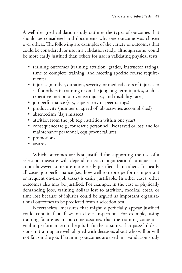A well-designed validation study outlines the types of outcomes that should be considered and documents why one outcome was chosen over others. The following are examples of the variety of outcomes that could be considered for use in a validation study, although some would be more easily justified than others for use in validating physical tests:

- training outcomes (training attrition, grades, instructor ratings, time to complete training, and meeting specific course requirements)
- injuries (number, duration, severity, or medical costs of injuries to self or others in training or on the job; long-term injuries, such as repetitive-motion or overuse injuries; and disability rates)
- job performance (e.g., supervisory or peer ratings)
- productivity (number or speed of job activities accomplished)
- absenteeism (days missed)
- attrition from the job (e.g., attrition within one year)
- consequences (e.g., for rescue personnel, lives saved or lost; and for maintenance personnel, equipment failures)
- promotions
- awards.

Which outcomes are best justified for supporting the use of a selection measure will depend on each organization's unique situation; however, some are more easily justified than others. In nearly all cases, job performance (i.e., how well someone performs important or frequent on-the-job tasks) is easily justifiable. In other cases, other outcomes also may be justified. For example, in the case of physically demanding jobs, training dollars lost to attrition, medical costs, or time lost because of injuries could be argued as important organizational outcomes to be predicted from a selection test.

Nevertheless, measures that might superficially appear justified could contain fatal flaws on closer inspection. For example, using training failure as an outcome assumes that the training content is vital to performance on the job. It further assumes that pass/fail decisions in training are well aligned with decisions about who will or will not fail on the job. If training outcomes are used in a validation study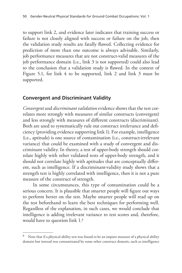to support link 2, and evidence later indicates that training success or failure is not closely aligned with success or failure on the job, then the validation study results are fatally flawed. Collecting evidence for prediction of more than one outcome is always advisable. Similarly, job performance measures that are not construct-valid measures of the job performance domain (i.e., link 3 is not supported) could also lead to the conclusion that a validation study is flawed. In the context of Figure 5.1, for link 4 to be supported, link 2 and link 3 must be supported.

## **Convergent and Discriminant Validity**

*Convergent* and *discriminant validation* evidence shows that the test correlates more strongly with measures of similar constructs (convergent) and less strongly with measures of different constructs (discriminant). Both are used to systematically rule out construct irrelevance and deficiency (providing evidence supporting link 1). For example, intelligence (i.e., aptitude) is one source of contamination (i.e., construct-irrelevant variance) that could be examined with a study of convergent and discriminant validity. In theory, a test of upper-body strength should correlate highly with other validated tests of upper-body strength, and it should not correlate highly with aptitudes that are conceptually different, such as intelligence. If a discriminant-validity study shows that a strength test is highly correlated with intelligence, then it is not a pure measure of the construct of strength.

In some circumstances, this type of contamination could be a serious concern. It is plausible that smarter people will figure out ways to perform better on the test. Maybe smarter people will read up on the test beforehand to learn the best techniques for performing well. Regardless of the explanation, in such cases, we would conclude that intelligence is adding irrelevant variance to test scores and, therefore, would have to question link 1.8

<sup>&</sup>lt;sup>8</sup> Note that if a physical ability test was found to be an impure measure of a physical ability domain but instead was contaminated by some other construct domain, such as intelligence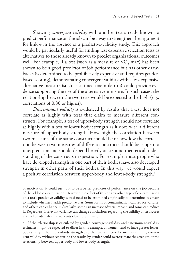Showing *convergent validity* with another test already known to predict performance on the job can be a way to strengthen the argument for link 4 in the absence of a predictive-validity study. This approach would be particularly useful for finding less expensive selection tests as alternatives to those already known to predict organizational outcomes well. For example, if a test (such as a measure of  $\rm VO_{2}$  max) has been shown to be a good predictor of job performance but has other drawbacks (is determined to be prohibitively expensive and requires genderbased scoring), demonstrating convergent validity with a less-expensive alternative measure (such as a timed one-mile run) could provide evidence supporting the use of the alternative measure. In such cases, the relationship between the two tests would be expected to be high (e.g., correlations of 0.80 or higher).

*Discriminant validity* is evidenced by results that a test does not correlate as highly with tests that claim to measure different constructs. For example, a test of upper-body strength should not correlate as highly with a test of lower-body strength as it does with a different measure of upper-body strength. How high the correlation between two measures of the same construct should be or how low the correlation between two measures of different constructs should be is open to interpretation and should depend heavily on a sound theoretical understanding of the constructs in question. For example, most people who have developed strength in one part of their bodies have also developed strength in other parts of their bodies. In this way, we would expect a positive correlation between upper-body and lower-body strength.9

If the relationship is calculated by gender, convergent-validity and discriminant-validity estimates might be expected to differ in this example. If women tend to have greater lowerbody strength than upper-body strength and the reverse is true for men, examining convergent validity without separating the results by gender could overestimate the strength of the relationship between upper-body and lower-body strength.

or motivation, it could turn out to be a better predictor of performance on the job because of the added contamination. However, the effect of this or any other type of contamination on a test's predictive validity would need to be examined empirically to determine its effects to include whether it adds predictive bias. Some forms of contamination can reduce validity, and others can enhance it. Similarly, some can increase adverse impact, and some can reduce it. Regardless, irrelevant variance can change conclusions regarding the validity of test scores and, when identified, it warrants closer examination.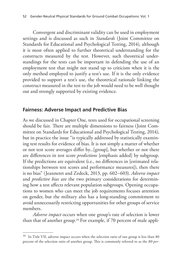Convergent and discriminant validity can be used in employment settings and is discussed as such in *Standards* (Joint Committee on Standards for Educational and Psychological Testing, 2014), although it is most often applied to further theoretical understanding for the constructs measured by the test. However, such theoretical understandings for the tests can be important in defending the use of an employment test that might not stand up to criticism when it is the only method employed to justify a test's use. If it is the only evidence provided to support a test's use, the theoretical rationale linking the construct measured in the test to the job would need to be well thought out and strongly supported by existing evidence.

# **Fairness: Adverse Impact and Predictive Bias**

As we discussed in Chapter One, tests used for occupational screening should be fair. There are multiple dimensions to fairness (Joint Committee on Standards for Educational and Psychological Testing, 2014), but in practice the issue "is typically addressed by statistically examining test results for evidence of bias. It is not simply a matter of whether or not test score averages differ by...[group], but whether or not there are differences in test score *predictions* [emphasis added] by subgroup. If the predictions are equivalent (i.e., no differences in [estimated relationships between test scores and performance measures]), then there is no bias" (Jeanneret and Zedeck, 2013, pp. 602–603). *Adverse impact* and *predictive bias* are the two primary considerations for determining how a test affects relevant population subgroups. Opening occupations to women who can meet the job requirements focuses attention on gender, but the military also has a long-standing commitment to avoid unnecessarily restricting opportunities for other groups of service members.

*Adverse impact* occurs when one group's rate of selection is lower than that of another group.10 For example, if 70 percent of male appli-

 $10$  In Title VII, adverse impact occurs when the selection ratio of one group is less than 80 percent of the selection ratio of another group. This is commonly referred to as the *80-per-*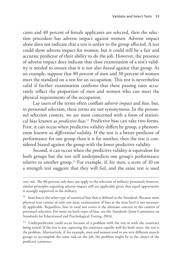cants and 40 percent of female applicants are selected, then the selection procedure has adverse impact against women. Adverse impact alone does not indicate that a test is unfair to the group affected. A test could show adverse impact for women, but it could still be a fair and accurate predictor of their ability to do the job. However, the presence of adverse impact does indicate that close examination of a test's validity is needed to ensure that it is not also *biased* against that group. As an example, suppose that 80 percent of men and 30 percent of women meet the standard on a test for an occupation. This test is nevertheless valid if further examination confirms that these passing rates accurately reflect the proportion of men and women who can meet the physical requirements of the occupation.

Lay users of the terms often conflate *adverse impact* and *bias*, but, in personnel selection, these terms are not synonymous. In the personnel selection context, we are most concerned with a form of statistical bias known as *predictive bias*. 11 Predictive bias can take two forms. First, it can occur when predictive validity differs by group, a phenomenon known as *differential validity*. If the test is a better predictor of performance for one group than it is for another, then the test is considered biased against the group with the lower predictive validity.

Second, it can occur when the predictive validity is equivalent for both groups but the test still underpredicts one group's performance relative to another group.12 For example, if, for men, a score of 10 on a strength test suggests that they will fail, and the same test is used

<sup>12</sup> Underprediction could occur because of a problem with the test or with the construct being tested. If the test is not capturing the construct equally well for both sexes, the test is the problem. Alternatively, if, for example, men and women tend to use very different muscle groups to accomplish the same task on the job, the problem might lie in the choice of the predictor construct.

*cent rule*. The 80-percent rule does not apply to the selection of military personnel; however, similar principles regarding adverse impact still are applicable given that equal opportunity is strongly supported in the military.

<sup>11</sup> Item bias is the other type of statistical bias that is defined in the *Standards*. Because most physical tests consist of only one item, examination of bias at the item level is not necessarily applicable. Regardless, bias in total test scores is the ultimate concern in the context of personnel selection. For more on both types of bias, see the *Standards* (Joint Committee on Standards for Educational and Psychological Testing, 2014).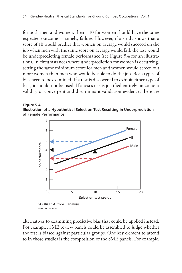for both men and women, then a 10 for women should have the same expected outcome—namely, failure. However, if a study shows that a score of 10 would predict that women on average would succeed on the job when men with the same score on average would fail, the test would be underpredicting female performance (see Figure 5.4 for an illustration). In circumstances where underprediction for women is occurring, setting the same minimum score for men and women would screen out more women than men who would be able to do the job. Both types of bias need to be examined. If a test is discovered to exhibit either type of bias, it should not be used. If a test's use is justified entirely on content validity or convergent and discriminant validation evidence, there are





**RAND** *RR1340/1-5.4*

alternatives to examining predictive bias that could be applied instead. For example, SME review panels could be assembled to judge whether the test is biased against particular groups. One key element to attend to in those studies is the composition of the SME panels. For example,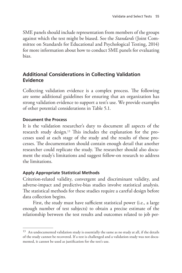SME panels should include representation from members of the groups against which the test might be biased. See the *Standards* (Joint Committee on Standards for Educational and Psychological Testing, 2014) for more information about how to conduct SME panels for evaluating bias.

# **Additional Considerations in Collecting Validation Evidence**

Collecting validation evidence is a complex process. The following are some additional guidelines for ensuring that an organization has strong validation evidence to support a test's use. We provide examples of other potential considerations in Table 5.1.

### **Document the Process**

It is the validation researcher's duty to document all aspects of the research study design.13 This includes the explanation for the processes used at each stage of the study and the results of those processes. The documentation should contain enough detail that another researcher could replicate the study. The researcher should also document the study's limitations and suggest follow-on research to address the limitations.

## **Apply Appropriate Statistical Methods**

Criterion-related validity, convergent and discriminant validity, and adverse-impact and predictive-bias studies involve statistical analysis. The statistical methods for these studies require a careful design before data collection begins.

First, the study must have sufficient statistical power (i.e., a large enough number of test subjects) to obtain a precise estimate of the relationship between the test results and outcomes related to job per-

 $13$  An undocumented validation study is essentially the same as no study at all, if the details of the study cannot be recovered. If a test is challenged and a validation study was not documented, it cannot be used as justification for the test's use.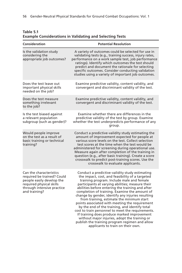| Consideration                                                                                                                                                 | <b>Potential Resolution</b>                                                                                                                                                                                                                                                                                                                                                                                                                                                                                                                                                                                                                                                                                                                               |  |
|---------------------------------------------------------------------------------------------------------------------------------------------------------------|-----------------------------------------------------------------------------------------------------------------------------------------------------------------------------------------------------------------------------------------------------------------------------------------------------------------------------------------------------------------------------------------------------------------------------------------------------------------------------------------------------------------------------------------------------------------------------------------------------------------------------------------------------------------------------------------------------------------------------------------------------------|--|
| Is the validation study<br>considering the<br>appropriate job outcomes?                                                                                       | A variety of outcomes could be selected for use in<br>validating tests (e.g., training success, injury rates,<br>performance on a work sample test, job performance<br>ratings). Identify which outcomes the test should<br>predict and document the rationale for selecting<br>specific outcomes. Consider conducting validation<br>studies using a variety of important job outcomes.                                                                                                                                                                                                                                                                                                                                                                   |  |
| Does the test leave out<br>important physical skills<br>needed on the job?                                                                                    | Examine predictive validity, content validity, and<br>convergent and discriminant validity of the test.                                                                                                                                                                                                                                                                                                                                                                                                                                                                                                                                                                                                                                                   |  |
| Does the test measure<br>something irrelevant<br>to the job?                                                                                                  | Examine predictive validity, content validity, and<br>convergent and discriminant validity of the test.                                                                                                                                                                                                                                                                                                                                                                                                                                                                                                                                                                                                                                                   |  |
| Is the test biased against<br>a relevant population<br>subgroup (such as gender)?                                                                             | Examine whether there are differences in the<br>predictive validity of the test by group. Examine<br>whether the test underpredicts performance of any<br>group.                                                                                                                                                                                                                                                                                                                                                                                                                                                                                                                                                                                          |  |
| Would people improve<br>on the test as a result of<br>basic training or technical<br>training?                                                                | Conduct a predictive-validity study estimating the<br>amount of improvement expected for people at<br>various score levels on the test. Collect selection<br>test scores at the time when the test would be<br>administered for screening during operational use.<br>Measure again after completion of the training in<br>question (e.g., after basic training). Create a score<br>crosswalk to predict post-training scores. Use the<br>crosswalk to evaluate applicants.                                                                                                                                                                                                                                                                                |  |
| Can the characteristics<br>required be trained? Could<br>people easily develop the<br>required physical skills<br>through intensive practice<br>and training? | Conduct a predictive-validity study estimating<br>the impact, cost, and feasibility of a targeted<br>training program. Include male and female<br>participants at varying abilities; measure their<br>abilities before entering the training and after<br>completion of training. Examine the amount of<br>change by gender, identify any injuries resulting<br>from training, estimate the minimum start<br>points associated with meeting the requirement<br>by the end of the training, and identify total<br>cost to train personnel to meet the requirements.<br>If training does produce marked improvement<br>without major injuries, adopt the training or<br>publish the training program regimen and allow<br>applicants to train on their own. |  |

**Table 5.1 Example Considerations in Validating and Selecting Tests**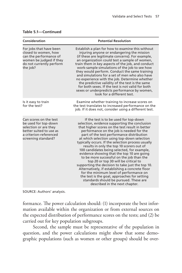| Consideration                                                                                                                                       | <b>Potential Resolution</b>                                                                                                                                                                                                                                                                                                                                                                                                                                                                                                                                                                                                                                                                                                                                                                                                                           |
|-----------------------------------------------------------------------------------------------------------------------------------------------------|-------------------------------------------------------------------------------------------------------------------------------------------------------------------------------------------------------------------------------------------------------------------------------------------------------------------------------------------------------------------------------------------------------------------------------------------------------------------------------------------------------------------------------------------------------------------------------------------------------------------------------------------------------------------------------------------------------------------------------------------------------------------------------------------------------------------------------------------------------|
| For jobs that have been<br>closed to women, how<br>can the performance of<br>women be judged if they<br>do not currently perform<br>the job?        | Establish a plan for how to examine this without<br>injuring anyone or endangering the mission<br>(if these are legitimate concerns). For example,<br>an organization could test a sample of women,<br>train them in key aspects of the job, and conduct<br>work-sample simulations of the job to see how<br>they would perform. Conduct the same training<br>and simulations for a set of men who also have<br>no experience with the job. Determine whether<br>the predictive validity of the test is the same<br>for both sexes. If the test is not valid for both<br>sexes or underpredicts performance by women,<br>look for a different test.                                                                                                                                                                                                   |
| Is it easy to train<br>for the test?                                                                                                                | Examine whether training to increase scores on<br>the test translates to increased performance on the<br>job. If it does not, consider using a different test.                                                                                                                                                                                                                                                                                                                                                                                                                                                                                                                                                                                                                                                                                        |
| Can scores on the test<br>be used for top-down<br>selection or are they<br>better suited to use as<br>a criterion-referenced<br>screening standard? | If the test is to be used for top-down<br>selection, evidence supporting the conclusion<br>that higher scores on the test result in better<br>performance on the job is needed for the<br>part of the test performance distribution<br>at which selection using top-down selection<br>typically occurs. If the selection process usually<br>results in only the top 10 scorers out of<br>100 candidates being selected, for example,<br>evidence showing that the top 10 are going<br>to be more successful on the job than the<br>top 20 or top 30 will be critical to<br>supporting the decision to take just the top 10.<br>Alternatively, if establishing a concrete floor<br>for the minimum level of performance on<br>the test is the goal, approaches for setting<br>standards should be pursued. These are<br>described in the next chapter. |

#### **Table 5.1—Continued**

SOURCE: Authors' analysis.

formance. The power calculation should: (1) incorporate the best information available within the organization or from external sources on the expected distribution of performance scores on the tests; and (2) be carried out for key population subgroups.

Second, the sample must be representative of the population in question, and the power calculations might show that some demographic populations (such as women or other groups) should be over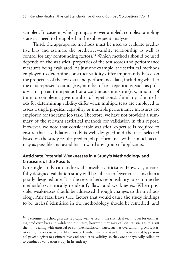sampled. In cases in which groups are oversampled, complex sampling statistics need to be applied in the subsequent analyses.

Third, the appropriate methods must be used to evaluate predictive bias and estimate the predictive-validity relationship as well as control for any confounding factors.14 Which methods should be used depends on the statistical properties of the test scores and performance measures being evaluated. As just one example, the statistical methods employed to determine construct validity differ importantly based on the properties of the test data and performance data, including whether the data represent counts (e.g., number of test repetitions, such as pullups, in a given time period) or a continuous measure (e.g., amount of time to complete a give number of repetitions). Similarly, the methods for determining validity differ when multiple tests are employed to assess a single physical capability or multiple performance measures are employed for the same job task. Therefore, we have not provided a summary of the relevant statistical methods for validation in this report. However, we note that considerable statistical expertise is required to ensure that a validation study is well designed and the tests selected based on the study results predict job performance with as much accuracy as possible and avoid bias toward any group of applicants.

### **Anticipate Potential Weaknesses in a Study's Methodology and Criticisms of the Results**

No single study can address all possible criticisms. However, a carefully designed validation study will be subject to fewer criticisms than a poorly designed one. It is the researcher's responsibility to examine the methodology critically to identify flaws and weaknesses. When possible, weaknesses should be addressed through changes to the methodology. Any fatal flaws (i.e., factors that would cause the study findings to be useless) identified in the methodology should be remedied, and

<sup>&</sup>lt;sup>14</sup> Personnel psychologists are typically well versed in the statistical techniques for estimating predictive bias and validation estimates; however, they may call on statisticians to assist them in dealing with unusual or complex statistical issues, such as oversampling. Most statisticians, in contrast, would likely not be familiar with the standard practices used by personnel psychologists to estimate bias and predictive validity, so they are not typically called on to conduct a validation study in its entirety.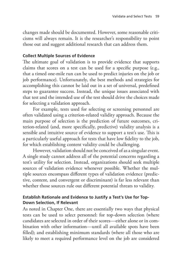changes made should be documented. However, some reasonable criticisms will always remain. It is the researcher's responsibility to point those out and suggest additional research that can address them.

### **Collect Multiple Sources of Evidence**

The ultimate goal of validation is to provide evidence that supports claims that scores on a test can be used for a specific purpose (e.g., that a timed one-mile run can be used to predict injuries on the job or job performance). Unfortunately, the best methods and strategies for accomplishing this cannot be laid out in a set of universal, predefined steps to guarantee success. Instead, the unique issues associated with that test and the intended use of the test should drive the choices made for selecting a validation approach.

For example, tests used for selecting or screening personnel are often validated using a criterion-related validity approach. Because the main purpose of selection is the prediction of future outcomes, criterion-related (and, more specifically, predictive) validity analysis is a sensible and intuitive source of evidence to support a test's use. This is a particularly useful approach for tests that have low fidelity to the job, for which establishing content validity could be challenging.

However, validation should not be conceived of as a singular event. A single study cannot address all of the potential concerns regarding a test's utility for selection. Instead, organizations should seek multiple sources of validation evidence whenever possible. Whether the multiple sources encompass different types of validation evidence (predictive, content, and convergent or discriminant) is far less relevant than whether those sources rule out different potential threats to validity.

### **Establish Rationale and Evidence to Justify a Test's Use for Top-Down Selection, If Relevant**

As noted in Chapter One, there are essentially two ways that physical tests can be used to select personnel: for top-down selection (where candidates are selected in order of their scores—either alone or in combination with other information—until all available spots have been filled); and establishing minimum standards (where all those who are likely to meet a required performance level on the job are considered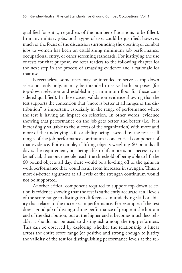qualified for entry, regardless of the number of positions to be filled). In many military jobs, both types of uses could be justified; however, much of the focus of the discussion surrounding the opening of combat jobs to women has been on establishing minimum job performance, occupational entry, or other screening standards. For justifying the use of tests for that purpose, we refer readers to the following chapter for the next step in the process of amassing evidence and a rationale for that use.

Nevertheless, some tests may be intended to serve as top-down selection tools only, or may be intended to serve both purposes (for top-down selection and establishing a minimum floor for those considered qualified). In those cases, validation evidence showing that the test supports the contention that "more is better at all ranges of the distribution" is important, especially in the range of performance where the test is having an impact on selection. In other words, evidence showing that performance on the job gets better and better (i.e., it is increasingly valuable to the success of the organization) with more and more of the underlying skill or ability being assessed by the test at all ranges of the job performance continuum is one critical component of that evidence. For example, if lifting objects weighing 60 pounds all day is the requirement, but being able to lift more is not necessary or beneficial, then once people reach the threshold of being able to lift the 60 pound objects all day, there would be a leveling off of the gains in work performance that would result from increases in strength. Thus, a more-is-better argument at all levels of the strength continuum would not be supported.

Another critical component required to support top-down selection is evidence showing that the test is sufficiently accurate at all levels of the score range to distinguish differences in underlying skill or ability that relates to the increases in performance. For example, if the test does a good job of distinguishing performance of people at the bottom end of the distribution, but at the higher end it becomes much less reliable, it should not be used to distinguish among the top performers. This can be observed by exploring whether the relationship is linear across the entire score range (or positive and strong enough to justify the validity of the test for distinguishing performance levels at the rel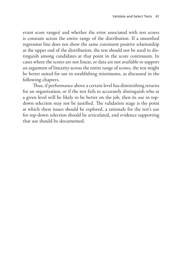evant score ranges) and whether the error associated with test scores is constant across the entire range of the distribution. If a smoothed regression line does not show the same consistent positive relationship at the upper end of the distribution, the test should not be used to distinguish among candidates at that point in the score continuum. In cases where the scores are not linear, or data are not available to support an argument of linearity across the entire range of scores, the test might be better suited for use in establishing minimums, as discussed in the following chapters.

Thus, if performance above a certain level has diminishing returns for an organization, or if the test fails to accurately distinguish who at a given level will be likely to be better on the job, then its use in topdown selection may not be justified. The validation stage is the point at which these issues should be explored, a rationale for the test's use for top-down selection should be articulated, and evidence supporting that use should be documented.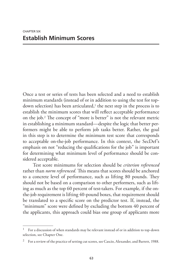Once a test or series of tests has been selected and a need to establish minimum standards (instead of or in addition to using the test for topdown selection) has been articulated, $\frac{1}{1}$  the next step in the process is to establish the minimum scores that will reflect acceptable performance on the job.2 The concept of "more is better" is not the relevant metric in establishing a minimum standard—despite the logic that better performers might be able to perform job tasks better. Rather, the goal in this step is to determine the minimum test score that corresponds to acceptable on-the-job performance. In this context, the SecDef's emphasis on not "reducing the qualifications for the job" is important for determining what minimum level of performance should be considered acceptable.

Test score minimums for selection should be *criterion referenced* rather than *norm referenced.* This means that scores should be anchored to a concrete level of performance, such as lifting 80 pounds. They should not be based on a comparison to other performers, such as lifting as much as the top 60 percent of test-takers. For example, if the onthe-job requirement is lifting 40-pound boxes, that requirement should be translated to a specific score on the predictor test. If, instead, the "minimum" score were defined by excluding the bottom 40 percent of the applicants, this approach could bias one group of applicants more

<sup>1</sup> For a discussion of when standards may be relevant instead of or in addition to top-down selection, see Chapter One.

<sup>&</sup>lt;sup>2</sup> For a review of the practice of setting cut scores, see Cascio, Alexander, and Barrett, 1988.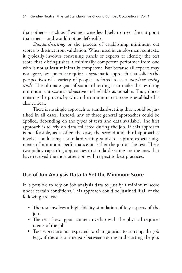than others—such as if women were less likely to meet the cut point than men—and would not be defensible.

*Standard-setting*, or the process of establishing minimum cut scores, is distinct from validation. When used in employment contexts, it typically involves convening panels of experts to identify the test score that distinguishes a minimally competent performer from one who is not at least minimally competent. But because all experts may not agree, best practice requires a systematic approach that solicits the perspectives of a variety of people—referred to as a *standard-setting study.* The ultimate goal of standard-setting is to make the resulting minimum cut score as objective and reliable as possible. Thus, documenting the process by which the minimum cut score is established is also critical.

There is no single approach to standard-setting that would be justified in all cases. Instead, any of three general approaches could be applied, depending on the types of tests and data available. The first approach is to rely on data collected during the job. If this approach is not feasible, as is often the case, the second and third approaches involve conducting a standard-setting study to capture expert judgments of minimum performance on either the job or the test. These two policy-capturing approaches to standard-setting are the ones that have received the most attention with respect to best practices.

# **Use of Job Analysis Data to Set the Minimum Score**

It is possible to rely on job analysis data to justify a minimum score under certain conditions. This approach could be justified if all of the following are true:

- The test involves a high-fidelity simulation of key aspects of the job.
- The test shows good content overlap with the physical requirements of the job.
- Test scores are not expected to change prior to starting the job (e.g., if there is a time gap between testing and starting the job,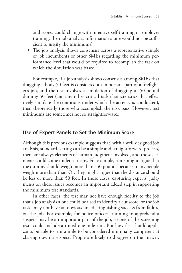and scores could change with intensive self-training or employer training, then job analysis information alone would not be sufficient to justify the minimums).

• The job analysis shows consensus across a representative sample of job incumbents or other SMEs regarding the minimum performance level that would be required to accomplish the task on which the simulation was based.

For example, if a job analysis shows consensus among SMEs that dragging a body 50 feet is considered an important part of a firefighter's job, and the test involves a simulation of dragging a 150-pound dummy 50 feet (and any other critical task characteristics that effectively simulate the conditions under which the activity is conducted), then theoretically those who accomplish the task pass. However, test minimums are sometimes not so straightforward.

# **Use of Expert Panels to Set the Minimum Score**

Although this previous example suggests that, with a well-designed job analysis, standard-setting can be a simple and straightforward process, there are always elements of human judgment involved, and those elements could come under scrutiny. For example, some might argue that the dummy should weigh more than 150 pounds because many people weigh more than that. Or, they might argue that the distance should be less or more than 50 feet. In those cases, capturing experts' judgments on these issues becomes an important added step in supporting the minimum test standards.

In other cases, the test may not have enough fidelity to the job that a job analysis alone could be used to identify a cut score, or the job tasks may not have an obvious line distinguishing success from failure on the job. For example, for police officers, running to apprehend a suspect may be an important part of the job, so one of the screening tests could include a timed one-mile run. But how fast should applicants be able to run a mile to be considered minimally competent at chasing down a suspect? People are likely to disagree on the answer.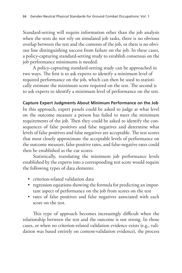Standard-setting will require information other than the job analysis when the tests do not rely on simulated job tasks, there is no obvious overlap between the test and the contents of the job, or there is no obvious line distinguishing success from failure on the job. In these cases, a policy-capturing standard-setting study to establish consensus on the job performance minimums is needed.

A policy-capturing standard-setting study can be approached in two ways. The first is to ask experts to identify a minimum level of required performance on the job, which can then be used to statistically estimate the minimum score required on the test. The second is to ask experts to identify a minimum level of performance on the test.

### **Capture Expert Judgments About Minimum Performance on the Job**

In this approach, expert panels could be asked to judge at what level on the outcome measure a person has failed to meet the minimum requirements of the job. Then they could be asked to identify the consequences of false positives and false negatives and determine what levels of false positives and false negatives are acceptable. The test scores that most closely approximate the acceptable levels of performance on the outcome measure, false-positive rates, and false-negative rates could then be established as the cut scores.

Statistically, translating the minimum job performance levels established by the experts into a corresponding test score would require the following types of data elements:

- criterion-related validation data
- regression equations showing the formula for predicting an important aspect of performance on the job from scores on the test
- rates of false positives and false negatives associated with each score on the test.

This type of approach becomes increasingly difficult when the relationship between the test and the outcome is not strong. In those cases, or when no criterion-related validation evidence exists (e.g., validation was based entirely on content-validation evidence), the process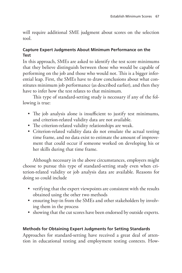will require additional SME judgment about scores on the selection tool.

## **Capture Expert Judgments About Minimum Performance on the Test**

In this approach, SMEs are asked to identify the test score minimums that they believe distinguish between those who would be capable of performing on the job and those who would not. This is a bigger inferential leap. First, the SMEs have to draw conclusions about what constitutes minimum job performance (as described earlier), and then they have to infer how the test relates to that minimum.

This type of standard-setting study is necessary if any of the following is true:

- The job analysis alone is insufficient to justify test minimums, and criterion-related validity data are not available.
- The criterion-related validity relationships are weak.
- Criterion-related validity data do not emulate the actual testing time frame, and no data exist to estimate the amount of improvement that could occur if someone worked on developing his or her skills during that time frame.

Although necessary in the above circumstances, employers might choose to pursue this type of standard-setting study even when criterion-related validity or job analysis data are available. Reasons for doing so could include

- verifying that the expert viewpoints are consistent with the results obtained using the other two methods
- ensuring buy-in from the SMEs and other stakeholders by involving them in the process
- showing that the cut scores have been endorsed by outside experts.

## **Methods for Obtaining Expert Judgments for Setting Standards**

Approaches for standard-setting have received a great deal of attention in educational testing and employment testing contexts. How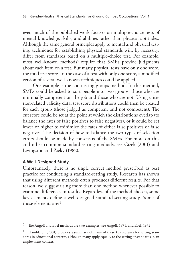ever, much of the published work focuses on multiple-choice tests of mental knowledge, skills, and abilities rather than physical aptitudes. Although the same general principles apply to mental and physical testing, techniques for establishing physical standards will, by necessity, differ from standards based on a multiple-choice test. For example, most well-known methods<sup>3</sup> require that SMEs provide judgments about each item on a test. But many physical tests have only one score, the total test score. In the case of a test with only one score, a modified version of several well-known techniques could be applied.

One example is the contrasting-groups method. In this method, SMEs could be asked to sort people into two groups: those who are minimally competent on the job and those who are not. Using criterion-related validity data, test score distributions could then be created for each group (those judged as competent and not competent). The cut score could be set at the point at which the distributions overlap (to balance the rates of false positives to false negatives), or it could be set lower or higher to minimize the rates of either false positives or false negatives. The decision of how to balance the two types of selection errors should be made by consensus of the SMEs. For more on this and other common standard-setting methods, see Cizek (2001) and Livingston and Zieky (1982).

## **A Well-Designed Study**

Unfortunately, there is no single correct method prescribed as best practice for conducting a standard-setting study. Research has shown that using different methods often produces different results. For that reason, we suggest using more than one method whenever possible to examine differences in results. Regardless of the method chosen, some key elements define a well-designed standard-setting study. Some of those elements are:4

<sup>&</sup>lt;sup>3</sup> The Angoff and Ebel methods are two examples (see Angoff, 1971, and Ebel, 1972).

<sup>&</sup>lt;sup>4</sup> Hambleton (2001) provides a summary of many of these key features for setting standards in educational contexts, although many apply equally to the setting of standards in an employment context.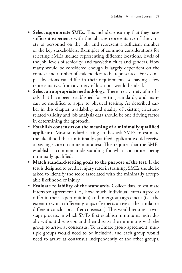- **Select appropriate SMEs.** This includes ensuring that they have sufficient experience with the job, are representative of the variety of personnel on the job, and represent a sufficient number of the key stakeholders. Examples of common considerations for selecting SMEs include representing different locations, levels of the job, levels of seniority, and race/ethnicities and genders. How many would be considered enough is largely dependent on the context and number of stakeholders to be represented. For example, locations can differ in their requirements, so having a few representatives from a variety of locations would be ideal.
- **Select an appropriate methodology.** There are a variety of methods that have been established for setting standards, and many can be modified to apply to physical testing. As described earlier in this chapter, availability and quality of existing criterionrelated validity and job analysis data should be one driving factor in determining the approach.
- **Establish consensus on the meaning of a minimally qualified applicant.** Most standard-setting studies ask SMEs to estimate the likelihood that a minimally qualified applicant would receive a passing score on an item or a test. This requires that the SMEs establish a common understanding for what constitutes being minimally qualified.
- **Match standard-setting goals to the purpose of the test.** If the test is designed to predict injury rates in training, SMEs should be asked to identify the score associated with the minimally acceptable likelihood of injury.
- **Evaluate reliability of the standards.** Collect data to estimate interrater agreement (i.e., how much individual raters agree or differ in their expert opinion) and intergroup agreement (i.e., the extent to which different groups of experts arrive at the similar or different conclusions after consensus). This would require a twostage process, in which SMEs first establish minimums individually without discussion and then discuss the minimums with the group to arrive at consensus. To estimate group agreement, multiple groups would need to be included, and each group would need to arrive at consensus independently of the other groups.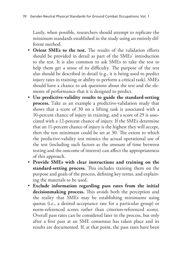Lastly, when possible, researchers should attempt to replicate the minimum standards established in the study using an entirely different method.

- **Orient SMEs to the test.** The results of the validation efforts should be provided in detail as part of the SMEs' introduction to the test. It is also common to ask SMEs to take the test to help them get a sense of its difficulty. The purpose of the test also should be described in detail (e.g., it is being used to predict injury rates in training or ability to perform a critical task). SMEs should have a chance to ask questions about the test and the elements of performance that it is designed to predict.
- **Use predictive-validity results to guide the standard-setting process.** Take as an example a predictive-validation study that shows that a score of 30 on a lifting task is associated with a 10-percent chance of injury in training, and a score of 29 is associated with a 12-percent chance of injury. If the SMEs determine that an 11-percent chance of injury is the highest they will accept, then the test minimum could be set at 30. The extent to which the predictive-validity test mimics the actual operational use of the test (including such factors as the amount of time between testing and the outcome of interest) can affect the appropriateness of this approach.
- **Provide SMEs with clear instructions and training on the standard-setting process.** This includes training them on the purpose and goals of the process, defining key terms, and explaining the materials to be used.
- **Exclude information regarding pass rates from the initial decisionmaking process.** This avoids both the perception and the reality that SMEs may be establishing minimums using quotas (i.e., a desired acceptance rate for a particular group) or norm-referenced scores rather than criterion-referenced scores. Overall pass rates can be considered later in the process, but only after a first pass at an SME consensus has taken place and its results are documented. If, at that point, the pass rates have been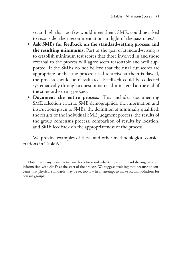set so high that too few would meet them, SMEs could be asked to reconsider their recommendations in light of the pass rates.<sup>5</sup>

- **Ask SMEs for feedback on the standard-setting process and the resulting minimums.** Part of the goal of standard-setting is to establish minimum test scores that those involved in and those external to the process will agree seem reasonable and well supported. If the SMEs do not believe that the final cut scores are appropriate or that the process used to arrive at them is flawed, the process should be reevaluated. Feedback could be collected systematically through a questionnaire administered at the end of the standard-setting process.
- **Document the entire process.** This includes documenting SME selection criteria, SME demographics, the information and instructions given to SMEs, the definition of minimally qualified, the results of the individual SME judgment process, the results of the group consensus process, comparison of results by location, and SME feedback on the appropriateness of the process.

We provide examples of these and other methodological considerations in Table 6.1.

<sup>&</sup>lt;sup>5</sup> Note that many best-practice methods for standard-setting recommend sharing pass rate information with SMEs at the start of the process. We suggest avoiding that because of concerns that physical standards may be set too low in an attempt to make accommodations for certain groups.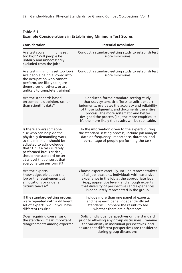| Consideration                                                                                                                                                                                                                                                                                     | <b>Potential Resolution</b>                                                                                                                                                                                                                                                                                                                            |
|---------------------------------------------------------------------------------------------------------------------------------------------------------------------------------------------------------------------------------------------------------------------------------------------------|--------------------------------------------------------------------------------------------------------------------------------------------------------------------------------------------------------------------------------------------------------------------------------------------------------------------------------------------------------|
| Are test score minimums set<br>too high? Will people be<br>unfairly and unnecessarily<br>excluded from the job?                                                                                                                                                                                   | Conduct a standard-setting study to establish test<br>score minimums.                                                                                                                                                                                                                                                                                  |
| Are test minimums set too low?<br>Are people being allowed into<br>the occupation who cannot<br>perform, are likely to injure<br>themselves or others, or are<br>unlikely to complete training?                                                                                                   | Conduct a standard-setting study to establish test<br>score minimums.                                                                                                                                                                                                                                                                                  |
| Are the standards based<br>on someone's opinion, rather<br>than scientific data?                                                                                                                                                                                                                  | Conduct a formal standard-setting study<br>that uses systematic efforts to solicit expert<br>judgments, evaluates the accuracy and reliability<br>of those judgments, and documents the entire<br>process. The more systematic and better<br>designed the process (i.e., the more empirical it<br>is), the more likely the results will be replicable. |
| Is there always someone<br>else who can help do the<br>physically demanding work,<br>so the minimum should be<br>adjusted to acknowledge<br>that? Or, if a task is rarely<br>performed but is critical.<br>should the standard be set<br>at a level that ensures that<br>everyone can perform it? | In the information given to the experts during<br>the standard-setting process, include job analysis<br>data on frequency, importance, duration, and<br>percentage of people performing the task.                                                                                                                                                      |
| Are the experts<br>knowledgeable about the<br>job or the requirements at<br>all locations or under all<br>circumstances? <sup>a</sup>                                                                                                                                                             | Choose experts carefully. Include representatives<br>of all job locations, individuals with extensive<br>experience in the job at the appropriate level<br>(e.g., apprentice level), and enough experts<br>that diversity of perspectives and experiences<br>is adequately represented in the group.                                                   |
| If the standard-setting process<br>were repeated with a different<br>set of experts, would you have<br>different results?                                                                                                                                                                         | Include more than one panel of experts,<br>and have each panel independently set<br>standards. Compare the results to see<br>whether there are differences.                                                                                                                                                                                            |
| Does requiring consensus on<br>the standards mask important<br>disagreements among experts?                                                                                                                                                                                                       | Solicit individual perspectives on the standard<br>prior to allowing any group discussions. Examine<br>the variability in individual perspectives, and<br>ensure that different perspectives are considered<br>during group discussions.                                                                                                               |

#### **Table 6.1 Example Considerations in Establishing Minimum Test Scores**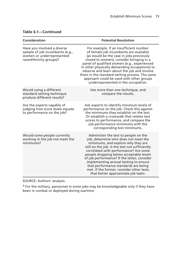| Consideration                                                                                                          | <b>Potential Resolution</b>                                                                                                                                                                                                                                                                                                                                                                                                                                                |
|------------------------------------------------------------------------------------------------------------------------|----------------------------------------------------------------------------------------------------------------------------------------------------------------------------------------------------------------------------------------------------------------------------------------------------------------------------------------------------------------------------------------------------------------------------------------------------------------------------|
| Have you involved a diverse<br>sample of job incumbents (e.g.,<br>women or underrepresented<br>race/ethnicity groups)? | For example, if an insufficient number<br>of female job incumbents are available<br>(as would be the case in jobs previously<br>closed to women), consider bringing in a<br>panel of qualified women (e.g., experienced<br>in other physically demanding occupations) to<br>observe and learn about the job and involve<br>them in the standard-setting process. The same<br>approach could be used with other groups<br>underrepresented in the occupation.               |
| Would using a different<br>standard-setting technique<br>produce different results?                                    | Use more than one technique, and<br>compare the results.                                                                                                                                                                                                                                                                                                                                                                                                                   |
| Are the experts capable of<br>judging how score levels equate<br>to performance on the job?                            | Ask experts to identify minimum levels of<br>performance on the job. Check this against<br>the minimums they establish on the test.<br>Or establish a crosswalk that relates test<br>scores to performance, and compare the<br>job performance minimums with the<br>corresponding test minimums.                                                                                                                                                                           |
| Would some people currently<br>working in the job not meet the<br>minimums?                                            | Administer the test to people on the<br>job, determine who does not meet the<br>minimums, and explore why they are<br>still on the job. Is the test not sufficiently<br>correlated with performance? Are some<br>people dropping below acceptable levels<br>of job performance? If the latter, consider<br>implementing annual testing to ensure<br>that performance standards are being<br>met. If the former, consider other tests<br>that better approximate job tasks. |

#### **Table 6.1—Continued**

SOURCE: Authors' analysis.

<sup>a</sup> For the military, personnel in some jobs may be knowledgeable only if they have been in combat or deployed during wartime.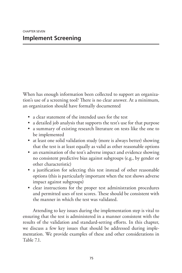When has enough information been collected to support an organization's use of a screening tool? There is no clear answer. At a minimum, an organization should have formally documented

- a clear statement of the intended uses for the test
- a detailed job analysis that supports the test's use for that purpose
- a summary of existing research literature on tests like the one to be implemented
- at least one solid validation study (more is always better) showing that the test is at least equally as valid as other reasonable options
- an examination of the test's adverse impact and evidence showing no consistent predictive bias against subgroups (e.g., by gender or other characteristic)
- a justification for selecting this test instead of other reasonable options (this is particularly important when the test shows adverse impact against subgroups)
- clear instructions for the proper test administration procedures and permitted uses of test scores. These should be consistent with the manner in which the test was validated.

Attending to key issues during the implementation step is vital to ensuring that the test is administered in a manner consistent with the results of the validation and standard-setting efforts. In this chapter, we discuss a few key issues that should be addressed during implementation. We provide examples of these and other considerations in Table 7.1.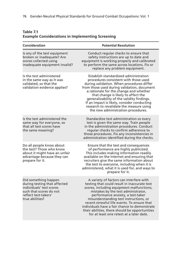| Consideration                                                                                                                                          | <b>Potential Resolution</b>                                                                                                                                                                                                                                                                                                                                                                                                                               |
|--------------------------------------------------------------------------------------------------------------------------------------------------------|-----------------------------------------------------------------------------------------------------------------------------------------------------------------------------------------------------------------------------------------------------------------------------------------------------------------------------------------------------------------------------------------------------------------------------------------------------------|
| Is any of the test equipment<br>broken or inadequate? Are<br>scores collected using<br>inadequate equipment invalid?                                   | Conduct regular checks to ensure that<br>safety instructions are up to date and<br>equipment is working properly and calibrated<br>to perform the same across locations. Fix or<br>replace any problem equipment.                                                                                                                                                                                                                                         |
| Is the test administered<br>in the same way as it was<br>validated, so that the<br>validation evidence applies?                                        | Establish standardized administration<br>procedures consistent with those used<br>during validation. When procedures differ<br>from those used during validation, document<br>a rationale for the change and whether<br>that change is likely to affect the<br>generalizability of the validity findings.<br>If an impact is likely, consider conducting<br>research to revalidate the measure using<br>the new administration procedures.                |
| Is the test administered the<br>same way for everyone, so<br>that all test scores have<br>the same meaning?                                            | Standardize test administration so every<br>test is given the same way. Train people<br>in the administration procedures. Conduct<br>regular checks to confirm adherence to<br>those procedures. Fix any inconsistencies in<br>administration identified during the checks.                                                                                                                                                                               |
| Do all people know about<br>the test? Those who know<br>about it might have an unfair<br>advantage because they can<br>prepare for it.                 | Ensure that the test and consequences<br>of performance are highly publicized.<br>This includes making information readily<br>available on the Internet and ensuring that<br>recruiters give the same information about<br>the test to everyone, including when it is<br>administered, what it is used for, and ways to<br>prepare for it.                                                                                                                |
| Did something happen<br>during testing that affected<br>individuals' test scores<br>such that scores do not<br>reflect test-takers'<br>true abilities? | A variety of factors can interfere with<br>testing that could result in inaccurate test<br>scores, including equipment malfunctions,<br>mistakes by the test administrator,<br>performance anxiety, a test-taker<br>misunderstanding test instructions, or<br>recent stressful life events. To ensure that<br>individuals have a fair chance to demonstrate<br>their abilities, there should be opportunities<br>for at least one retest at a later date. |
|                                                                                                                                                        |                                                                                                                                                                                                                                                                                                                                                                                                                                                           |

#### **Table 7.1 Example Considerations in Implementing Screening**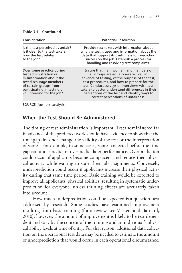| Consideration                                                                                                                                                                                    | <b>Potential Resolution</b>                                                                                                                                                                                                                                                                                                                                                   |  |
|--------------------------------------------------------------------------------------------------------------------------------------------------------------------------------------------------|-------------------------------------------------------------------------------------------------------------------------------------------------------------------------------------------------------------------------------------------------------------------------------------------------------------------------------------------------------------------------------|--|
| Is the test perceived as unfair?<br>Is it clear to the test-takers<br>how the test relates<br>to the job?                                                                                        | Provide test-takers with information about<br>why the test is used and information about the<br>data that support its usefulness for predicting<br>success on the job. Establish a process for<br>handling and resolving test complaints.                                                                                                                                     |  |
| Does some practice during<br>test administration or<br>misinformation about the<br>test discourage members<br>of certain groups from<br>participating in testing or<br>volunteering for the job? | Ensure that men, women, and members of<br>all groups are equally aware, well in<br>advance of testing, of the purpose of the test,<br>test procedures, and how to prepare for the<br>test. Conduct surveys or interviews with test-<br>takers to better understand differences in their<br>perceptions of the test and identify ways to<br>correct perceptions of unfairness. |  |

#### **Table 7.1—Continued**

SOURCE: Authors' analysis.

## **When the Test Should Be Administered**

The timing of test administration is important. Tests administered far in advance of the predicted work should have evidence to show that the time gap does not change the validity of the test or the interpretation of scores. For example, in some cases, scores collected before the time gap can underpredict or overpredict later performance. Overprediction could occur if applicants become complacent and reduce their physical activity while waiting to start their job assignments. Conversely, underprediction could occur if applicants increase their physical activity during that same time period. Basic training would be expected to improve all applicants' physical abilities, resulting in systematic underprediction for everyone, unless training effects are accurately taken into account.

How much underprediction could be expected is a question best addressed by research. Some studies have examined improvement resulting from basic training (for a review, see Vickers and Barnard, 2010); however, the amount of improvement is likely to be test-dependent and vary by the content of the training and an individual's physical ability levels at time of entry. For that reason, additional data collection on the operational test data may be needed to estimate the amount of underprediction that would occur in each operational circumstance.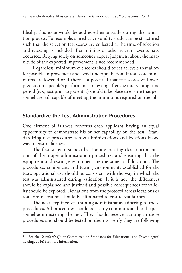Ideally, this issue would be addressed empirically during the validation process. For example, a predictive-validity study can be structured such that the selection test scores are collected at the time of selection and retesting is included after training or other relevant events have occurred. Relying solely on someone's expert judgment about the magnitude of the expected improvement is not recommended.

Regardless, minimum cut scores should be set at levels that allow for possible improvement and avoid underprediction. If test score minimums are lowered or if there is a potential that test scores will overpredict some people's performance, retesting after the intervening time period (e.g., just prior to job entry) should take place to ensure that personnel are still capable of meeting the minimums required on the job.

## **Standardize the Test Administration Procedures**

One element of fairness concerns each applicant having an equal opportunity to demonstrate his or her capability on the test.1 Standardizing test procedures across administrations and locations is one way to ensure fairness.

The first steps to standardization are creating clear documentation of the proper administration procedures and ensuring that the equipment and testing environment are the same at all locations. The procedures, equipment, and testing environments established for the test's operational use should be consistent with the way in which the test was administered during validation. If it is not, the differences should be explained and justified and possible consequences for validity should be explored. Deviations from the protocol across locations or test administrations should be eliminated to ensure test fairness.

The next step involves training administrators adhering to those procedures. All procedures should be clearly communicated to the personnel administering the test. They should receive training in those procedures and should be tested on them to verify they are following

See the *Standards* (Joint Committee on Standards for Educational and Psychological Testing, 2014) for more information.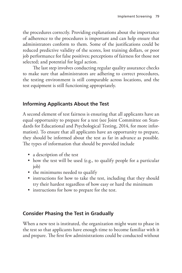the procedures correctly. Providing explanations about the importance of adherence to the procedures is important and can help ensure that administrators conform to them. Some of the justifications could be reduced predictive validity of the scores, lost training dollars, or poor job performance for false positives; perceptions of fairness for those not selected; and potential for legal action.

The last step involves conducting regular quality assurance checks to make sure that administrators are adhering to correct procedures, the testing environment is still comparable across locations, and the test equipment is still functioning appropriately.

# **Informing Applicants About the Test**

A second element of test fairness is ensuring that all applicants have an equal opportunity to prepare for a test (see Joint Committee on Standards for Educational and Psychological Testing, 2014, for more information). To ensure that all applicants have an opportunity to prepare, they should be informed about the test as far in advance as possible. The types of information that should be provided include

- a description of the test
- how the test will be used (e.g., to qualify people for a particular job)
- the minimums needed to qualify
- instructions for how to take the test, including that they should try their hardest regardless of how easy or hard the minimum
- instructions for how to prepare for the test.

# **Consider Phasing the Test in Gradually**

When a new test is instituted, the organization might want to phase in the test so that applicants have enough time to become familiar with it and prepare. The first few administrations could be conducted without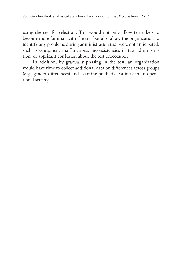using the test for selection. This would not only allow test-takers to become more familiar with the test but also allow the organization to identify any problems during administration that were not anticipated, such as equipment malfunctions, inconsistencies in test administration, or applicant confusion about the test procedures.

In addition, by gradually phasing in the test, an organization would have time to collect additional data on differences across groups (e.g., gender differences) and examine predictive validity in an operational setting.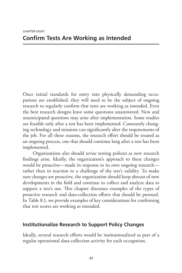Once initial standards for entry into physically demanding occupations are established, they will need to be the subject of ongoing research to regularly confirm that tests are working as intended. Even the best research designs leave some questions unanswered. New and unanticipated questions may arise after implementation. Some studies are feasible only after a test has been implemented. Constantly changing technology and missions can significantly alter the requirements of the job. For all these reasons, the research effort should be treated as an ongoing process, one that should continue long after a test has been implemented.

Organizations also should revise testing policies as new research findings arise. Ideally, the organization's approach to these changes would be proactive—made in response to its own ongoing research rather than in reaction to a challenge of the test's validity. To make sure changes are proactive, the organization should keep abreast of new developments in the field and continue to collect and analyze data to support a test's use. This chapter discusses examples of the types of proactive research and data-collection efforts that should be pursued. In Table 8.1, we provide examples of key considerations for confirming that test scores are working as intended.

## **Institutionalize Research to Support Policy Changes**

Ideally, several research efforts would be institutionalized as part of a regular operational data-collection activity for each occupation.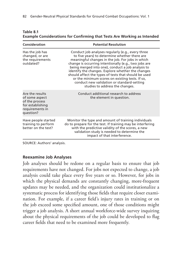| Consideration                                                                                           | <b>Potential Resolution</b>                                                                                                                                                                                                                                                                                                                                                                                                                                                                                           |
|---------------------------------------------------------------------------------------------------------|-----------------------------------------------------------------------------------------------------------------------------------------------------------------------------------------------------------------------------------------------------------------------------------------------------------------------------------------------------------------------------------------------------------------------------------------------------------------------------------------------------------------------|
| Has the job has<br>changed, or are<br>the requirements<br>outdated?                                     | Conduct job analyses regularly (e.g., every three<br>to five years) to determine whether there are<br>meaningful changes in the job. For jobs in which<br>change is occurring intentionally (e.g., two jobs are<br>being merged into one), conduct a job analysis to<br>identify the changes. Explore whether the changes<br>should affect the types of tests that should be used<br>or the minimum scores on existing tests. If so,<br>conduct new validation or standard-setting<br>studies to address the changes. |
| Are the results<br>of some aspect<br>of the process<br>for establishing<br>requirements in<br>question? | Conduct additional research to address<br>the element in question.                                                                                                                                                                                                                                                                                                                                                                                                                                                    |
| Have people started<br>training to perform<br>better on the test?                                       | Monitor the type and amount of training individuals<br>do to prepare for the test. If training may be interfering<br>with the predictive validity of the scores, a new<br>validation study is needed to determine the<br>impact of that interference.                                                                                                                                                                                                                                                                 |

| Table 8.1                                                                       |  |  |
|---------------------------------------------------------------------------------|--|--|
| <b>Example Considerations for Confirming that Tests Are Working as Intended</b> |  |  |

SOURCE: Authors' analysis.

#### **Reexamine Job Analyses**

Job analyses should be redone on a regular basis to ensure that job requirements have not changed. For jobs not expected to change, a job analysis could take place every five years or so. However, for jobs in which the physical demands are constantly changing, more-frequent updates may be needed, and the organization could institutionalize a systematic process for identifying those fields that require closer examination. For example, if a career field's injury rates in training or on the job exceed some specified amount, one of those conditions might trigger a job analysis. A short annual workforce-wide survey inquiring about the physical requirements of the job could be developed to flag career fields that need to be examined more frequently.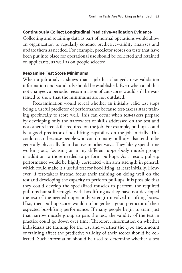#### **Continuously Collect Longitudinal Predictive-Validation Evidence**

Collecting and retaining data as part of normal operations would allow an organization to regularly conduct predictive-validity analyses and update them as needed. For example, predictor scores on tests that have been put into place for operational use should be collected and retained on applicants, as well as on people selected.

#### **Reexamine Test Score Minimums**

When a job analysis shows that a job has changed, new validation information and standards should be established. Even when a job has not changed, a periodic reexamination of cut scores would still be warranted to show that the minimums are not outdated.

Reexamination would reveal whether an initially valid test stops being a useful predictor of performance because test-takers start training specifically to score well. This can occur when test-takers prepare by developing only the narrow set of skills addressed on the test and not other related skills required on the job. For example, pull-ups could be a good predictor of box-lifting capability on the job initially. This could occur because people who can do many pull-ups also tend to be generally physically fit and active in other ways. They likely spend time working out, focusing on many different upper-body muscle groups in addition to those needed to perform pull-ups. As a result, pull-up performance would be highly correlated with arm strength in general, which could make it a useful test for box-lifting, at least initially. However, if test-takers instead focus their training on doing well on the test and developing the capacity to perform pull-ups, it is possible that they could develop the specialized muscles to perform the required pull-ups but still struggle with box-lifting as they have not developed the rest of the needed upper-body strength involved in lifting boxes. If so, their pull-up scores would no longer be a good predictor of their expected box-lifting performance. If many people begin to train just that narrow muscle group to pass the test, the validity of the test in practice could go down over time. Therefore, information on whether individuals are training for the test and whether the type and amount of training affect the predictive validity of their scores should be collected. Such information should be used to determine whether a test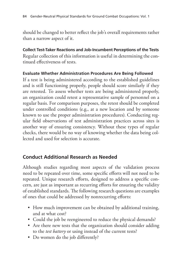should be changed to better reflect the job's overall requirements rather than a narrow aspect of it.

**Collect Test-Taker Reactions and Job-Incumbent Perceptions of the Tests** Regular collection of this information is useful in determining the continued effectiveness of tests.

### **Evaluate Whether Administration Procedures Are Being Followed**

If a test is being administered according to the established guidelines and is still functioning properly, people should score similarly if they are retested. To assess whether tests are being administered properly, an organization could retest a representative sample of personnel on a regular basis. For comparison purposes, the retest should be completed under controlled conditions (e.g., at a new location and by someone known to use the proper administration procedures). Conducting regular field observations of test administration practices across sites is another way of ensuring consistency. Without these types of regular checks, there would be no way of knowing whether the data being collected and used for selection is accurate.

# **Conduct Additional Research as Needed**

Although studies regarding most aspects of the validation process need to be repeated over time, some specific efforts will not need to be repeated. Unique research efforts, designed to address a specific concern, are just as important as recurring efforts for ensuring the validity of established standards. The following research questions are examples of ones that could be addressed by nonrecurring efforts:

- How much improvement can be obtained by additional training, and at what cost?
- Could the job be reengineered to reduce the physical demands?
- Are there new tests that the organization should consider adding to the *test battery* or using instead of the current tests?
- Do women do the job differently?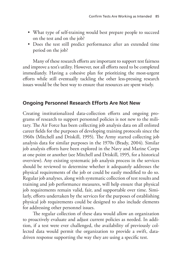- What type of self-training would best prepare people to succeed on the test and on the job?
- Does the test still predict performance after an extended time period on the job?

Many of these research efforts are important to support test fairness and improve a test's utility. However, not all efforts need to be completed immediately. Having a cohesive plan for prioritizing the most-urgent efforts while still eventually tackling the other less-pressing research issues would be the best way to ensure that resources are spent wisely.

### **Ongoing Personnel Research Efforts Are Not New**

Creating institutionalized data-collection efforts and ongoing programs of research to support personnel policies is not new to the military. The Air Force has been collecting job analysis data on all enlisted career fields for the purposes of developing training protocols since the 1960s (Mitchell and Driskill, 1995). The Army started collecting job analysis data for similar purposes in the 1970s (Brady, 2004). Similar job analysis efforts have been explored in the Navy and Marine Corps at one point or another (see Mitchell and Driskill, 1995, for a historical overview). Any existing systematic job analysis process in the services should be reviewed to determine whether it adequately addresses the physical requirements of the job or could be easily modified to do so. Regular job analyses, along with systematic collection of test results and training and job performance measures, will help ensure that physical job requirements remain valid, fair, and supportable over time. Similarly, efforts undertaken by the services for the purposes of establishing physical job requirements could be designed to also include elements for addressing other personnel issues.

The regular collection of these data would allow an organization to proactively evaluate and adjust current policies as needed. In addition, if a test were ever challenged, the availability of previously collected data would permit the organization to provide a swift, datadriven response supporting the way they are using a specific test.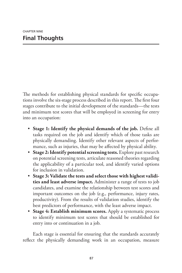The methods for establishing physical standards for specific occupations involve the six-stage process described in this report. The first four stages contribute to the initial development of the standards—the tests and minimum test scores that will be employed in screening for entry into an occupation:

- **Stage 1: Identify the physical demands of the job.** Define all tasks required on the job and identify which of those tasks are physically demanding. Identify other relevant aspects of performance, such as injuries, that may be affected by physical ability.
- **Stage 2: Identify potential screening tests.** Explore past research on potential screening tests, articulate reasoned theories regarding the applicability of a particular tool, and identify varied options for inclusion in validation.
- **Stage 3: Validate the tests and select those with highest validities and least adverse impact.** Administer a range of tests to job candidates, and examine the relationship between test scores and important outcomes on the job (e.g., performance, injury rates, productivity). From the results of validation studies, identify the best predictors of performance, with the least adverse impact.
- **Stage 4: Establish minimum scores.** Apply a systematic process to identify minimum test scores that should be established for entry into or continuation in a job.

Each stage is essential for ensuring that the standards accurately reflect the physically demanding work in an occupation, measure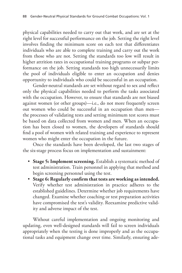physical capabilities needed to carry out that work, and are set at the right level for successful performance on the job. Setting the right level involves finding the minimum score on each test that differentiates individuals who are able to complete training and carry out the work from those who are not. Setting the standards too low will result in higher attrition rates in occupational training programs or subpar performance on the job. Setting standards too high unnecessarily limits the pool of individuals eligible to enter an occupation and denies opportunity to individuals who could be successful in an occupation.

Gender-neutral standards are set without regard to sex and reflect only the physical capabilities needed to perform the tasks associated with the occupation. However, to ensure that standards are not biased against women (or other groups)—i.e., do not more frequently screen out women who could be successful in an occupation than men the processes of validating tests and setting minimum test scores must be based on data collected from women and men. When an occupation has been closed to women, the developers of standards should find a pool of women with related training and experience to represent women who might enter the occupation in the future.

Once the standards have been developed, the last two stages of the six-stage process focus on implementation and sustainment:

- **Stage 5: Implement screening.** Establish a systematic method of test administration. Train personnel in applying that method and begin screening personnel using the test.
- **Stage 6: Regularly confirm that tests are working as intended.** Verify whether test administration in practice adheres to the established guidelines. Determine whether job requirements have changed. Examine whether coaching or test preparation activities have compromised the test's validity. Reexamine predictive validity and adverse impact of the test.

Without careful implementation and ongoing monitoring and updating, even well-designed standards will fail to screen individuals appropriately when the testing is done improperly and as the occupational tasks and equipment change over time. Similarly, ensuring ade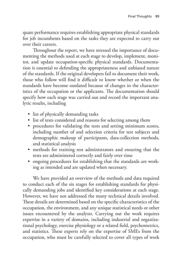quate performance requires establishing appropriate physical standards for job incumbents based on the tasks they are expected to carry out over their careers.

Throughout the report, we have stressed the importance of documenting the methods used at each stage to develop, implement, monitor, and update occupation-specific physical standards. Documentation is essential to defending the appropriateness and unbiased nature of the standards. If the original developers fail to document their work, those who follow will find it difficult to know whether or when the standards have become outdated because of changes in the characteristics of the occupation or the applicants. The documentation should specify how each stage was carried out and record the important analytic results, including

- list of physically demanding tasks
- list of tests considered and reasons for selecting among them
- procedures for validating the tests and setting minimum scores, including number of and selection criteria for test subjects and demographic makeup of participants, data-collection methods, and statistical analysis
- methods for training test administrators and ensuring that the tests are administered correctly and fairly over time
- ongoing procedures for establishing that the standards are working as intended and are updated when necessary.

We have provided an overview of the methods and data required to conduct each of the six stages for establishing standards for physically demanding jobs and identified key considerations at each stage. However, we have not addressed the many technical details involved. These details are determined based on the specific characteristics of the occupation, the environment, and any unique statistical needs or other issues encountered by the analysts. Carrying out the work requires expertise in a variety of domains, including industrial and organizational psychology, exercise physiology or a related field, psychometrics, and statistics. These experts rely on the expertise of SMEs from the occupation, who must be carefully selected to cover all types of work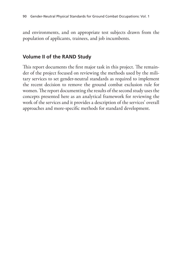and environments, and on appropriate test subjects drawn from the population of applicants, trainees, and job incumbents.

# **Volume II of the RAND Study**

This report documents the first major task in this project. The remainder of the project focused on reviewing the methods used by the military services to set gender-neutral standards as required to implement the recent decision to remove the ground combat exclusion rule for women. The report documenting the results of the second study uses the concepts presented here as an analytical framework for reviewing the work of the services and it provides a description of the services' overall approaches and more-specific methods for standard development.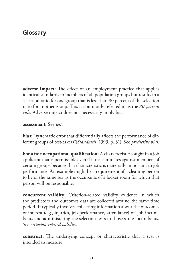**adverse impact:** The effect of an employment practice that applies identical standards to members of all population groups but results in a selection ratio for one group that is less than 80 percent of the selection ratio for another group. This is commonly referred to as the *80-percent rule*. Adverse impact does not necessarily imply bias.

#### **assessment:** See *test*.

**bias:** "systematic error that differentially affects the performance of different groups of test-takers"(*Standards*, 1999, p. 31). See *predictive bias*.

**bona fide occupational qualification:** A characteristic sought in a job applicant that is permissible even if it discriminates against members of certain groups because that characteristic is materially important to job performance. An example might be a requirement of a cleaning person to be of the same sex as the occupants of a locker room for which that person will be responsible.

**concurrent validity:** Criterion-related validity evidence in which the predictors and outcomes data are collected around the same time period. It typically involves collecting information about the outcomes of interest (e.g., injuries, job performance, attendance) on job incumbents and administering the selection tests to those same incumbents. See *criterion-related validity*.

**construct:** The underlying concept or characteristic that a test is intended to measure.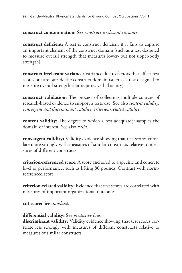**construct contamination:** See *construct irrelevant variance*.

**construct deficient:** A test is construct deficient if it fails to capture an important element of the construct domain (such as a test designed to measure overall strength that measures lower- but not upper-body strength).

**construct irrelevant variance:** Variance due to factors that affect test scores but are outside the construct domain (such as a test designed to measure overall strength that requires verbal acuity).

**construct validation:** The process of collecting multiple sources of research-based evidence to support a tests use. See also *content validity, convergent and discriminant validity, criterion-related validity*.

**content validity:** The degree to which a test adequately samples the domain of interest. See also *valid*.

**convergent validity:** Validity evidence showing that test scores correlate more strongly with measures of similar constructs relative to measures of different constructs.

**criterion-referenced score:** A score anchored to a specific and concrete level of performance, such as lifting 80 pounds. Contrast with normreferenced score.

**criterion-related validity:** Evidence that test scores are correlated with measures of important organizational outcomes.

**cut score:** See *standard*.

#### **differential validity:** See *predictive bias*.

**discriminant validity:** Validity evidence showing that test scores correlate less strongly with measures of different constructs relative to measures of similar constructs.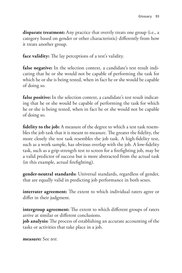**disparate treatment:** Any practice that overtly treats one group (i.e., a category based on gender or other characteristic) differently from how it treats another group.

**face validity:** The lay perceptions of a test's validity.

**false negative:** In the selection context, a candidate's test result indicating that he or she would not be capable of performing the task for which he or she is being tested, when in fact he or she would be capable of doing so.

**false positive:** In the selection context, a candidate's test result indicating that he or she would be capable of performing the task for which he or she is being tested, when in fact he or she would not be capable of doing so.

**fidelity to the job:** A measure of the degree to which a test task resembles the job task that it is meant to measure. The greater the fidelity, the more closely the test task resembles the job task. A high-fidelity test, such as a work sample, has obvious overlap with the job. A low-fidelity task, such as a grip-strength test to screen for a firefighting job, may be a valid predictor of success but is more abstracted from the actual task (in this example, actual firefighting).

**gender-neutral standards:** Universal standards, regardless of gender, that are equally valid in predicting job performance in both sexes.

**interrater agreement:** The extent to which individual raters agree or differ in their judgment.

**intergroup agreement:** The extent to which different groups of raters arrive at similar or different conclusions.

**job analysis:** The process of establishing an accurate accounting of the tasks or activities that take place in a job.

**measure:** See *test*.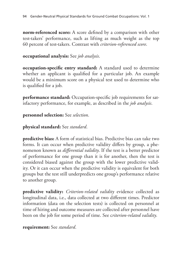**norm-referenced score:** A score defined by a comparison with other test-takers' performance, such as lifting as much weight as the top 60 percent of test-takers. Contrast with *criterion-referenced score*.

### **occupational analysis:** See *job analysis*.

**occupation-specific entry standard:** A standard used to determine whether an applicant is qualified for a particular job. An example would be a minimum score on a physical test used to determine who is qualified for a job.

**performance standard:** Occupation-specific job requirements for satisfactory performance, for example, as described in the *job analysis*.

#### **personnel selection:** See *selection*.

## **physical standard:** See *standard*.

**predictive bias:** A form of statistical bias. Predictive bias can take two forms. It can occur when predictive validity differs by group, a phenomenon known as *differential validity*. If the test is a better predictor of performance for one group than it is for another, then the test is considered biased against the group with the lower predictive validity. Or it can occur when the predictive validity is equivalent for both groups but the test still underpredicts one group's performance relative to another group.

**predictive validity:** *Criterion-related validity* evidence collected as longitudinal data, i.e., data collected at two different times. Predictor information (data on the selection tests) is collected on personnel at time of hiring and outcome measures are collected after personnel have been on the job for some period of time. See c*riterion-related validity*.

#### **requirement:** See *standard*.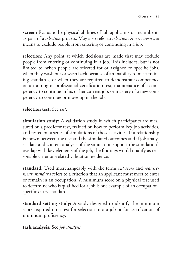**screen:** Evaluate the physical abilities of job applicants or incumbents as part of a *selection* process. May also refer to *selection*. Also, *screen out* means to exclude people from entering or continuing in a job.

**selection:** Any point at which decisions are made that may exclude people from entering or continuing in a job. This includes, but is not limited to, when people are selected for or assigned to specific jobs, when they wash out or wash back because of an inability to meet training standards, or when they are required to demonstrate competence on a training or professional certification test, maintenance of a competency to continue in his or her current job, or mastery of a new competency to continue or move up in the job.

#### **selection test:** See *test*.

**simulation study:** A validation study in which participants are measured on a predictor test, trained on how to perform key job activities, and tested on a series of simulations of those activities. If a relationship is shown between the test and the simulated outcomes and if job analysis data and content analysis of the simulation support the simulation's overlap with key elements of the job, the findings would qualify as reasonable criterion-related validation evidence.

**standard:** Used interchangeably with the terms *cut score* and *requirement*, *standard* refers to a criterion that an applicant must meet to enter or remain in an occupation. A minimum score on a physical test used to determine who is qualified for a job is one example of an occupationspecific entry standard.

**standard-setting study:** A study designed to identify the minimum score required on a test for selection into a job or for certification of minimum proficiency.

**task analysis:** See *job analysis*.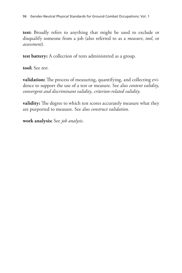**test:** Broadly refers to anything that might be used to exclude or disqualify someone from a job (also referred to as a *measure*, *tool*, or *assessment*).

**test battery:** A collection of tests administered as a group.

**tool:** See *test*.

**validation:** The process of measuring, quantifying, and collecting evidence to support the use of a test or measure. See also *content validity, convergent and discriminant validity, criterion-related validity*.

**validity:** The degree to which test scores accurately measure what they are purported to measure. See also *construct validation*.

**work analysis:** See *job analysis*.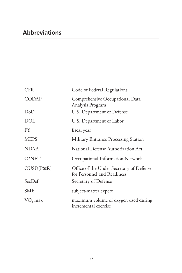| <b>CFR</b>          | Code of Federal Regulations                                             |
|---------------------|-------------------------------------------------------------------------|
| <b>CODAP</b>        | Comprehensive Occupational Data<br>Analysis Program                     |
| DoD                 | U.S. Department of Defense                                              |
| <b>DOL</b>          | U.S. Department of Labor                                                |
| <b>FY</b>           | fiscal year                                                             |
| <b>MEPS</b>         | <b>Military Entrance Processing Station</b>                             |
| <b>NDAA</b>         | National Defense Authorization Act                                      |
| $O*NET$             | Occupational Information Network                                        |
| OUSD(P&R)           | Office of the Under Secretary of Defense<br>for Personnel and Readiness |
| SecDef              | Secretary of Defense                                                    |
| SME                 | subject-matter expert                                                   |
| VO <sub>2</sub> max | maximum volume of oxygen used during<br>incremental exercise            |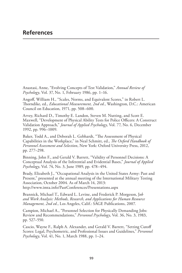Anastasi, Anne, "Evolving Concepts of Test Validation," *Annual Review of Psychology*, Vol. 37, No. 1, February 1986, pp. 1–16.

Angoff, William H., "Scales, Norms, and Equivalent Scores," in Robert L. Thorndike, ed., *Educational Measurement, 2nd ed.*, Washington, D.C.: American Council on Education, 1971, pp. 508–600.

Arvey, Richard D., Timothy E. Landon, Steven M. Nutting, and Scott E. Maxwell, "Development of Physical Ability Tests for Police Officers: A Construct Validation Approach," *Journal of Applied Psychology*, Vol. 77, No. 6, December 1992, pp. 996–1009.

Baker, Todd A., and Deborah L. Gebhardt, "The Assessment of Physical Capabilities in the Workplace," in Neal Schmitt, ed., *The Oxford Handbook of Personnel Assessment and Selection*, New York: Oxford University Press, 2012, pp. 277–298.

Binning, John F., and Gerald V. Barrett, "Validity of Personnel Decisions: A Conceptual Analysis of the Inferential and Evidential Bases," *Journal of Applied Psychology*, Vol. 74, No. 3, June 1989, pp. 478–494.

Brady, Elizabeth J., "Occupational Analysis in the United States Army: Past and Present," presented at the annual meeting of the International Military Testing Association, October 2004. As of March 14, 2013: <http://www.imta.info/PastConferences/Presentations.aspx>

Brannick, Michael T., Edward L. Levine, and Frederick P. Morgeson, J*ob and Work Analysis: Methods, Research, and Applications for Human Resource Management, 2nd ed.*, Los Angeles, Calif.: SAGE Publications, 2007.

Campion, Michael A., "Personnel Selection for Physically Demanding Jobs: Review and Recommendations," *Personnel Psychology*, Vol. 36, No. 3, 1983, pp. 527–550.

Cascio, Wayne F., Ralph A. Alexander, and Gerald V. Barrett, "Setting Cutoff Scores: Legal, Psychometric, and Professional Issues and Guidelines," *Personnel Psychology*, Vol. 41, No. 1, March 1988, pp. 1–24.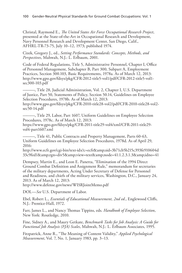Christal, Raymond E., *The United States Air Force Occupational Research Project*, presented at the State-of-the-Art in Occupational Research and Development, Navy Personnel Research and Development Center, San Diego, Calif., AFHRL-TR-73-75, July 10–12, 1973; published 1974.

Cizek, Gregory J., ed., *Setting Performance Standards: Concepts, Methods, and Perspectives*, Mahwah, N.J.: L. Erlbaum, 2001.

Code of Federal Regulations, Title 5, Administrative Personnel, Chapter I, Office of Personnel Management, Subchapter B, Part 300, Subpart A, Employment Practices, Section 300.103, Basic Requirements, 1978a. As of March 12, 2013: [http://www.gpo.gov/fdsys/pkg/CFR-2012-title5-vol1/pdf/CFR-2012-title5-vol1](http://www.gpo.gov/fdsys/pkg/CFR-2012-title5-vol1/pdf/CFR-2012-title5-vol1-sec300-103.pdf) sec300-103.pdf

———, Title 28, Judicial Administration, Vol. 2, Chapter I, U.S. Department of Justice, Part 50, Statements of Policy, Section 50.14, Guidelines on Employee Selection Procedures, 1978b. As of March 12, 2013:

[http://www.gpo.gov/fdsys/pkg/CFR-2010-title28-vol2/pdf/CFR-2010-title28-vol2](http://www.gpo.gov/fdsys/pkg/CFR-2010-title28-vol2/pdf/CFR-2010-title28-vol2-sec50-14.pdf) sec50-14.pdf

———, Title 29, Labor, Part 1607, Uniform Guidelines on Employee Selection Procedures, 1978c. As of March 12, 2013:

[https://www.gpo.gov/fdsys/pkg/CFR-2011-title29-vol4/xml/CFR-2011-title29](https://www.gpo.gov/fdsys/pkg/CFR-2011-title29-vol4/xml/CFR-2011-title29-vol4-part1607.xml) vol4-part1607.xml

———, Title 41, Public Contracts and Property Management, Parts 60-63, Uniform Guidelines on Employee Selection Procedures, 1978d. As of April 29, 2016:

http://www.ecfr.gov/cgi-bin/text-idx?c=ecfr&sid=3b71cb5b215c393fe910604d [33c9fed1&rgn=div5&view=text&node=41:1.2.3.1.3&idno=41](http://www.ecfr.gov/cgi-bin/text-idx?c=ecfr&sid=3b71cb5b215c393fe910604d33c9fed1&rgn=div5&view=text&node=41:1.2.3.1.3&idno=41)

Dempsey, Martin E., and Leon E. Panetta, "Elimination of the 1994 Direct Ground Combat Definition and Assignment Rule," memorandum for secretaries of the military departments, Acting Under Secretary of Defense for Personnel and Readiness, and chiefs of the military services, Washington, D.C., January 24, 2013. As of March 12, 2013:

<http://www.defense.gov/news/WISRJointMemo.pdf>

DOL—*See* U.S. Department of Labor.

Ebel, Robert L., *Essentials of Educational Measurement, 2nd ed.*, Englewood Cliffs, N.J.: Prentice-Hall, 1972.

Farr, James L., and Nancy Thomas Tippins, eds. *Handbook of Employee Selection*, New York: Routledge, 2010.

Fine, Sidney A., and Maury Getkate, *Benchmark Tasks for Job Analysis: A Guide for Functional Job Analysis (FJA) Scales*, Mahwah, N.J.: L. Erlbaum Associates, 1995.

Fitzpatrick, Anne R., "The Meaning of Content Validity," *Applied Psychological Measurement*, Vol. 7, No. 1, January 1983, pp. 3–13.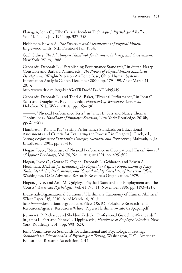Flanagan, John C., "The Critical Incident Technique," *Psychological Bulletin*, Vol. 51, No. 4, July 1954, pp. 327–358.

Fleishman, Edwin A., *The Structure and Measurement of Physical Fitness*, Englewood Cliffs, N.J.: Prentice-Hall, 1964.

Gael, Sidney, *The Job Analysis Handbook for Business, Industry, and Government*, New York: Wiley, 1988.

Gebhardt, Deborah L., "Establishing Performance Standards," in Stefan Harry Constable and Barbara Palmer, eds., *The Process of Physical Fitness Standards Development*, Wright-Patterson Air Force Base, Ohio: Human Systems Information Analysis Center, December 2000, pp. 179–199. As of March 11, 2013:

<http://www.dtic.mil/cgi-bin/GetTRDoc?AD=ADA495349>

Gebhardt, Deborah L., and Todd A. Baker, "Physical Performance," in John C. Scott and Douglas H. Reynolds, eds., *Handbook of Workplace Assessment*, Hoboken, N.J.: Wiley, 2010a, pp. 165–196.

———, "Physical Performance Tests," in James L. Farr and Nancy Thomas Tippins, eds., *Handbook of Employee Selection*, New York: Routledge, 2010b, pp. 277–298.

Hambleton, Ronald K., "Setting Performance Standards on Educational Assessments and Criteria for Evaluating the Process," in Gregory J. Cizek, ed., *Setting Performance Standards: Concepts, Methods, and Perspectives*, Mahwah, N.J.: L. Erlbaum, 2001, pp. 89–116.

Hogan, Joyce, "Structure of Physical Performance in Occupational Tasks," *Journal of Applied Psychology*, Vol. 76, No. 4, August 1991, pp. 495–507.

Hogan, Joyce C., George D. Ogden, Deborah L. Gebhardt, and Edwin A. Fleishman, *Methods for Evaluating the Physical and Effort Requirements of Navy Tasks: Metabolic, Performance, and Physical Ability Correlates of Perceived Efforts*, Washington, D.C.: Advanced Research Resources Organization, 1979.

Hogan, Joyce, and Ann M. Quigley, "Physical Standards for Employment and the Courts," *American Psychologist*, Vol. 41, No. 11, November 1986, pp. 1193–1217.

Industrial/Organizational Solutions, "Fleishman's Taxonomy of Human Abilities," White Paper 015, 2010. As of March 14, 2013:

[http://www.iosolutions.org/uploadedFiles/IOS/IO\\_Solutions/Research\\_and\\_](http://www.iosolutions.org/uploadedFiles/IOS/IO_Solutions/Research_and_Resources/Agency_Resources/White_Papers/Fleishman-white%20paper.pdf) Resources/Agency\_Resources/White\_Papers/Fleishman-white%20paper.pdf

Jeanneret, P. Richard, and Sheldon Zedeck, "Professional Guidelines/Standards," in James L. Farr and Nancy T. Tippins, eds., *Handbook of Employee Selection*, New York: Routledge, 2013, pp. 593–623.

Joint Committee on Standards for Educational and Psychological Testing, *Standards for Educational and Psychological Testing*, Washington, D.C.: American Educational Research Association, 2014.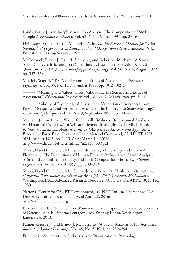Landy, Frank J., and Joseph Vasey, "Job Analysis: The Composition of SME Samples," *Personnel Psychology*, Vol. 44, No. 1, March 1991, pp. 27–50.

Livingston, Samuel A., and Michael J. Zieky, *Passing Scores: A Manual for Setting Standards of Performance on Educational and Occupational Tests*, Princeton, N.J.: Educational Testing Service, 1982.

McCormick, Ernest J., Paul R. Jeanneret, and Robert C. Mecham, "A Study of Job Characteristics and Job Dimensions as Based on the Position Analysis Questionnaire (PAQ)," *Journal of Applied Psychology*, Vol. 56, No. 4, August 1972, pp. 347–368.

Messick, Samuel, "Test Validity and the Ethics of Assessment," *American Psychologist*, Vol. 35, No. 11, November 1980, pp. 1012–1027.

———, "Meaning and Values in Test Validation: The Science and Ethics of Assessment," *Educational Researcher*, Vol. 18, No. 2, March 1989, pp. 5–11.

———, "Validity of Psychological Assessment: Validation of Inferences from Persons' Responses and Performances as Scientific Inquiry into Score Meaning," *American Psychologist*, Vol. 50, No. 9, September 1995, pp. 741–749.

Mitchell, Jimmy L., and Walter E. Driskill, "Military Occupational Analysis: An Historical Overview," in Winston Bennett Jr. and Jimmy L. Mitchell, eds., *Military Occupational Analysis: Issues and Advances in Research and Application*, Brooks Air Force Base, Texas: Air Force Materiel Command, AL/HR-TR-1995- 0131, August 1995, pp. 1–13. As of March 14, 2013: <http://www.dtic.mil/dtic/tr/fulltext/u2/a303687.pdf>

Myers, David C., Deborah L. Gebhardt, Carolyn E. Crump, and Edwin A. Fleishman, "The Dimensions of Human Physical Performance: Factor Analysis of Strength, Stamina, Flexibility, and Body Composition Measures," *Human Performance*, Vol. 6, No. 4, 1993, pp. 309–344.

Myers, David C., Deborah L. Gebhardt, and Edwin A. Fleishman, *Development of Physical Performance Standards for Army Jobs: The Job Analysis Methodology*, Washington, D.C.: Advanced Research Resources Organization, ARRO-3045-FR, 1980.

National Center for O\*NET Development, "O\*NET OnLine," homepage, U.S. Department of Labor, undated. As of April 28, 2016: <http://online.onetcenter.org>

Panetta, Leon E., "Statement on Women in Service," speech delivered by Secretary of Defense Leon E. Panetta, Pentagon Press Briefing Room, Washington, D.C., January 24, 2013.

Palmer, George J., and Ernest J. McCormick, "A Factor Analysis of Job Activities," *Journal of Applied Psychology*, Vol. 45, No. 5, 1961, pp. 289–294.

Principles—*See* Society for Industrial and Organizational Psychology.